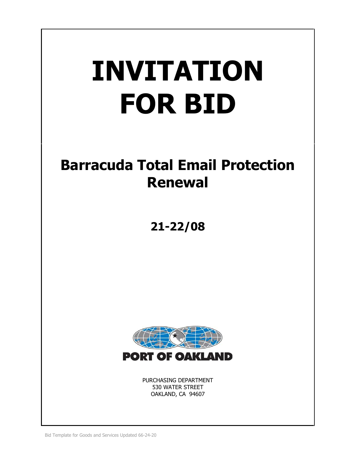# **INVITATION FOR BID**

# **Barracuda Total Email Protection Renewal**

# **21-22/08**



PURCHASING DEPARTMENT 530 WATER STREET OAKLAND, CA 94607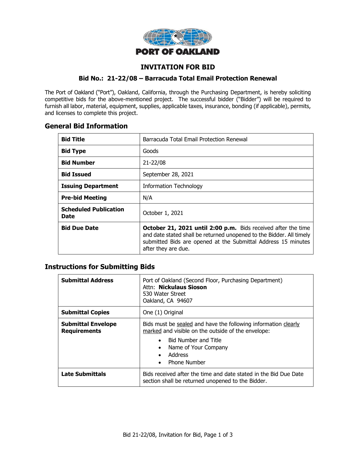

# **INVITATION FOR BID**

#### **Bid No.: 21-22/08 – Barracuda Total Email Protection Renewal**

The Port of Oakland ("Port"), Oakland, California, through the Purchasing Department, is hereby soliciting competitive bids for the above-mentioned project. The successful bidder ("Bidder") will be required to furnish all labor, material, equipment, supplies, applicable taxes, insurance, bonding (if applicable), permits, and licenses to complete this project.

# **General Bid Information**

| <b>Bid Title</b>                     | Barracuda Total Email Protection Renewal                                                                                                                                                                                      |
|--------------------------------------|-------------------------------------------------------------------------------------------------------------------------------------------------------------------------------------------------------------------------------|
| <b>Bid Type</b>                      | Goods                                                                                                                                                                                                                         |
| <b>Bid Number</b>                    | 21-22/08                                                                                                                                                                                                                      |
| <b>Bid Issued</b>                    | September 28, 2021                                                                                                                                                                                                            |
| <b>Issuing Department</b>            | <b>Information Technology</b>                                                                                                                                                                                                 |
| <b>Pre-bid Meeting</b>               | N/A                                                                                                                                                                                                                           |
| <b>Scheduled Publication</b><br>Date | October 1, 2021                                                                                                                                                                                                               |
| <b>Bid Due Date</b>                  | October 21, 2021 until 2:00 p.m. Bids received after the time<br>and date stated shall be returned unopened to the Bidder. All timely<br>submitted Bids are opened at the Submittal Address 15 minutes<br>after they are due. |

# **Instructions for Submitting Bids**

| <b>Submittal Address</b>                         | Port of Oakland (Second Floor, Purchasing Department)<br>Attn: Nickulaus Sioson<br>530 Water Street<br>Oakland, CA 94607                                                                                                                                          |  |
|--------------------------------------------------|-------------------------------------------------------------------------------------------------------------------------------------------------------------------------------------------------------------------------------------------------------------------|--|
| <b>Submittal Copies</b>                          | One (1) Original                                                                                                                                                                                                                                                  |  |
| <b>Submittal Envelope</b><br><b>Requirements</b> | Bids must be sealed and have the following information clearly<br>marked and visible on the outside of the envelope:<br><b>Bid Number and Title</b><br>$\bullet$<br>Name of Your Company<br>$\bullet$<br>Address<br>$\bullet$<br><b>Phone Number</b><br>$\bullet$ |  |
| <b>Late Submittals</b>                           | Bids received after the time and date stated in the Bid Due Date<br>section shall be returned unopened to the Bidder.                                                                                                                                             |  |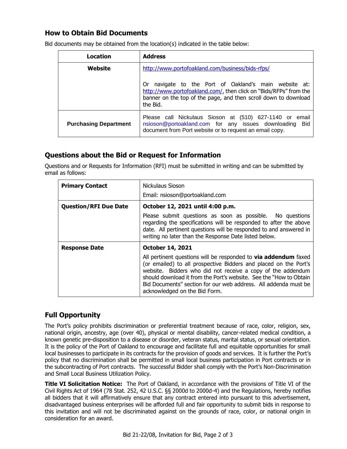# **How to Obtain Bid Documents**

| Location                     | <b>Address</b>                                                                                                                                                                                               |  |  |
|------------------------------|--------------------------------------------------------------------------------------------------------------------------------------------------------------------------------------------------------------|--|--|
| Website                      | http://www.portofoakland.com/business/bids-rfps/                                                                                                                                                             |  |  |
|                              | navigate to the Port of Oakland's main website at:<br>0r<br>http://www.portofoakland.com/, then click on "Bids/RFPs" from the<br>banner on the top of the page, and then scroll down to download<br>the Bid. |  |  |
| <b>Purchasing Department</b> | Please call Nickulaus Sioson at (510) 627-1140 or email<br>nsioson@portoakland.com for any issues downloading<br>Bid<br>document from Port website or to request an email copy.                              |  |  |

Bid documents may be obtained from the location(s) indicated in the table below:

# **Questions about the Bid or Request for Information**

Questions and or Requests for Information (RFI) must be submitted in writing and can be submitted by email as follows:

| <b>Primary Contact</b>       | Nickulaus Sioson                                                                                                                                                                                                                                                                                                                                                                    |  |  |
|------------------------------|-------------------------------------------------------------------------------------------------------------------------------------------------------------------------------------------------------------------------------------------------------------------------------------------------------------------------------------------------------------------------------------|--|--|
|                              | Email: nsioson@portoakland.com                                                                                                                                                                                                                                                                                                                                                      |  |  |
| <b>Question/RFI Due Date</b> | October 12, 2021 until 4:00 p.m.                                                                                                                                                                                                                                                                                                                                                    |  |  |
|                              | Please submit questions as soon as possible. No questions<br>regarding the specifications will be responded to after the above<br>date. All pertinent questions will be responded to and answered in<br>writing no later than the Response Date listed below.                                                                                                                       |  |  |
| <b>Response Date</b>         | <b>October 14, 2021</b>                                                                                                                                                                                                                                                                                                                                                             |  |  |
|                              | All pertinent questions will be responded to <b>via addendum</b> faxed<br>(or emailed) to all prospective Bidders and placed on the Port's<br>website. Bidders who did not receive a copy of the addendum<br>should download it from the Port's website. See the "How to Obtain<br>Bid Documents" section for our web address. All addenda must be<br>acknowledged on the Bid Form. |  |  |

# **Full Opportunity**

The Port's policy prohibits discrimination or preferential treatment because of race, color, religion, sex, national origin, ancestry, age (over 40), physical or mental disability, cancer-related medical condition, a known genetic pre-disposition to a disease or disorder, veteran status, marital status, or sexual orientation. It is the policy of the Port of Oakland to encourage and facilitate full and equitable opportunities for small local businesses to participate in its contracts for the provision of goods and services. It is further the Port's policy that no discrimination shall be permitted in small local business participation in Port contracts or in the subcontracting of Port contracts. The successful Bidder shall comply with the Port's Non-Discrimination and Small Local Business Utilization Policy.

**Title VI Solicitation Notice:** The Port of Oakland, in accordance with the provisions of Title VI of the Civil Rights Act of 1964 (78 Stat. 252, 42 U.S.C. §§ 2000d to 2000d-4) and the Regulations, hereby notifies all bidders that it will affirmatively ensure that any contract entered into pursuant to this advertisement, disadvantaged business enterprises will be afforded full and fair opportunity to submit bids in response to this invitation and will not be discriminated against on the grounds of race, color, or national origin in consideration for an award.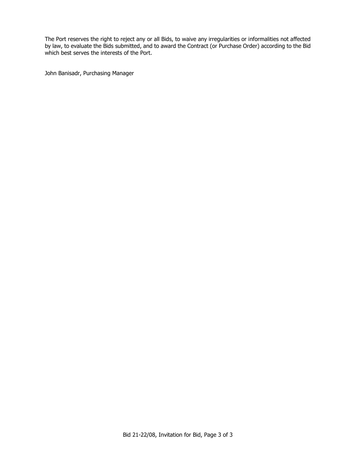The Port reserves the right to reject any or all Bids, to waive any irregularities or informalities not affected by law, to evaluate the Bids submitted, and to award the Contract (or Purchase Order) according to the Bid which best serves the interests of the Port.

John Banisadr, Purchasing Manager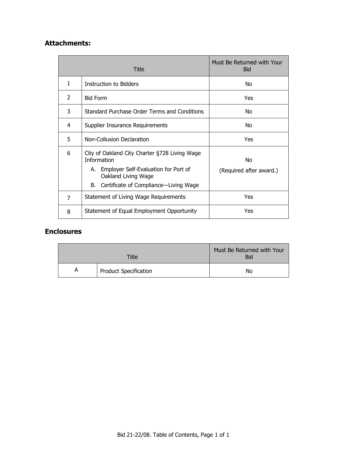# **Attachments:**

| Title          |                                                                                                                | Must Be Returned with Your<br><b>Bid</b> |
|----------------|----------------------------------------------------------------------------------------------------------------|------------------------------------------|
| 1              | Instruction to Bidders                                                                                         | No.                                      |
| 2              | <b>Bid Form</b>                                                                                                | Yes                                      |
| 3              | Standard Purchase Order Terms and Conditions                                                                   | No                                       |
| 4              | Supplier Insurance Requirements                                                                                | No                                       |
| 5              | Non-Collusion Declaration                                                                                      | Yes                                      |
| 6              | City of Oakland City Charter §728 Living Wage<br><b>Information</b><br>A. Employer Self-Evaluation for Port of | No                                       |
|                | Oakland Living Wage                                                                                            | (Required after award.)                  |
|                | B. Certificate of Compliance—Living Wage                                                                       |                                          |
| $\overline{7}$ | Statement of Living Wage Requirements                                                                          | Yes                                      |
| 8              | Statement of Equal Employment Opportunity                                                                      | Yes                                      |

# **Enclosures**

| Title |                              | Must Be Returned with Your<br><b>Bid</b> |  |
|-------|------------------------------|------------------------------------------|--|
| A     | <b>Product Specification</b> | No                                       |  |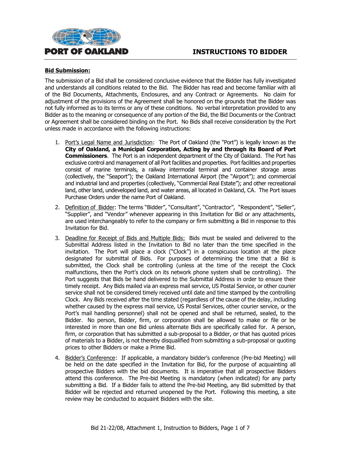



#### **Bid Submission:**

The submission of a Bid shall be considered conclusive evidence that the Bidder has fully investigated and understands all conditions related to the Bid. The Bidder has read and become familiar with all of the Bid Documents, Attachments, Enclosures, and any Contract or Agreements. No claim for adjustment of the provisions of the Agreement shall be honored on the grounds that the Bidder was not fully informed as to its terms or any of these conditions. No verbal interpretation provided to any Bidder as to the meaning or consequence of any portion of the Bid, the Bid Documents or the Contract or Agreement shall be considered binding on the Port. No Bids shall receive consideration by the Port unless made in accordance with the following instructions:

- 1. Port's Legal Name and Jurisdiction: The Port of Oakland (the "Port") is legally known as the **City of Oakland, a Municipal Corporation, Acting by and through its Board of Port Commissioners**. The Port is an independent department of the City of Oakland. The Port has exclusive control and management of all Port facilities and properties. Port facilities and properties consist of marine terminals, a railway intermodal terminal and container storage areas (collectively, the "Seaport"); the Oakland International Airport (the "Airport"); and commercial and industrial land and properties (collectively, "Commercial Real Estate"); and other recreational land, other land, undeveloped land, and water areas, all located in Oakland, CA. The Port issues Purchase Orders under the name Port of Oakland.
- 2. Definition of Bidder: The terms "Bidder", "Consultant", "Contractor", "Respondent", "Seller", "Supplier", and "Vendor" whenever appearing in this Invitation for Bid or any attachments, are used interchangeably to refer to the company or firm submitting a Bid in response to this Invitation for Bid.
- 3. Deadline for Receipt of Bids and Multiple Bids: Bids must be sealed and delivered to the Submittal Address listed in the Invitation to Bid no later than the time specified in the invitation. The Port will place a clock ("Clock") in a conspicuous location at the place designated for submittal of Bids. For purposes of determining the time that a Bid is submitted, the Clock shall be controlling (unless at the time of the receipt the Clock malfunctions, then the Port's clock on its network phone system shall be controlling). The Port suggests that Bids be hand delivered to the Submittal Address in order to ensure their timely receipt. Any Bids mailed via an express mail service, US Postal Service, or other courier service shall not be considered timely received until date and time stamped by the controlling Clock. Any Bids received after the time stated (regardless of the cause of the delay, including whether caused by the express mail service, US Postal Services, other courier service, or the Port's mail handling personnel) shall not be opened and shall be returned, sealed, to the Bidder. No person, Bidder, firm, or corporation shall be allowed to make or file or be interested in more than one Bid unless alternate Bids are specifically called for. A person, firm, or corporation that has submitted a sub-proposal to a Bidder, or that has quoted prices of materials to a Bidder, is not thereby disqualified from submitting a sub-proposal or quoting prices to other Bidders or make a Prime Bid.
- 4. Bidder's Conference: If applicable, a mandatory bidder's conference (Pre-bid Meeting) will be held on the date specified in the Invitation for Bid, for the purpose of acquainting all prospective Bidders with the bid documents. It is imperative that all prospective Bidders attend this conference. The Pre-bid Meeting is mandatory (when indicated) for any party submitting a Bid. If a Bidder fails to attend the Pre-bid Meeting, any Bid submitted by that Bidder will be rejected and returned unopened by the Port. Following this meeting, a site review may be conducted to acquaint Bidders with the site.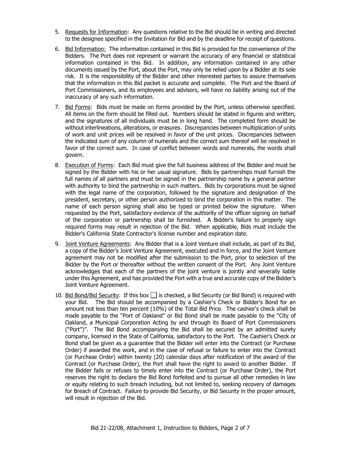- 5. Requests for Information: Any questions relative to the Bid should be in writing and directed to the designee specified in the Invitation for Bid and by the deadline for receipt of questions.
- 6. Bid Information: The information contained in this Bid is provided for the convenience of the Bidders. The Port does not represent or warrant the accuracy of any financial or statistical information contained in this Bid. In addition, any information contained in any other documents issued by the Port, about the Port, may only be relied upon by a Bidder at its sole risk. It is the responsibility of the Bidder and other interested parties to assure themselves that the information in this Bid packet is accurate and complete. The Port and the Board of Port Commissioners, and its employees and advisors, will have no liability arising out of the inaccuracy of any such information.
- 7. Bid Forms: Bids must be made on forms provided by the Port, unless otherwise specified. All items on the form should be filled out. Numbers should be stated in figures and written, and the signatures of all individuals must be in long hand. The completed form should be without interlineations, alterations, or erasures. Discrepancies between multiplication of units of work and unit prices will be resolved in favor of the unit prices. Discrepancies between the indicated sum of any column of numerals and the correct sum thereof will be resolved in favor of the correct sum. In case of conflict between words and numerals, the words shall govern.
- 8. Execution of Forms: Each Bid must give the full business address of the Bidder and must be signed by the Bidder with his or her usual signature. Bids by partnerships must furnish the full names of all partners and must be signed in the partnership name by a general partner with authority to bind the partnership in such matters. Bids by corporations must be signed with the legal name of the corporation, followed by the signature and designation of the president, secretary, or other person authorized to bind the corporation in this matter. The name of each person signing shall also be typed or printed below the signature. When requested by the Port, satisfactory evidence of the authority of the officer signing on behalf of the corporation or partnership shall be furnished. A Bidder's failure to properly sign required forms may result in rejection of the Bid. When applicable, Bids must include the Bidder's California State Contractor's license number and expiration date.
- 9. Joint Venture Agreements: Any Bidder that is a Joint Venture shall include, as part of its Bid, a copy of the Bidder's Joint Venture Agreement, executed and in force, and the Joint Venture agreement may not be modified after the submission to the Port, prior to selection of the Bidder by the Port or thereafter without the written consent of the Port. Any Joint Venture acknowledges that each of the partners of the joint venture is jointly and severally liable under this Agreement, and has provided the Port with a true and accurate copy of the Bidder's Joint Venture Agreement.
- 10. Bid Bond/Bid Security: If this box  $\Box$  is checked, a Bid Security (or Bid Bond) is required with your Bid. The Bid should be accompanied by a Cashier's Check or Bidder's Bond for an amount not less than ten percent (10%) of the Total Bid Price. The cashier's check shall be made payable to the "Port of Oakland" or Bid Bond shall be made payable to the "City of Oakland, a Municipal Corporation Acting by and through its Board of Port Commissioners ("Port")". The Bid Bond accompanying the Bid shall be secured by an admitted surety company, licensed in the State of California, satisfactory to the Port. The Cashier's Check or Bond shall be given as a guarantee that the Bidder will enter into the Contract (or Purchase Order) if awarded the work, and in the case of refusal or failure to enter into the Contract (or Purchase Order) within twenty (20) calendar days after notification of the award of the Contract (or Purchase Order), the Port shall have the right to award to another Bidder. If the Bidder fails or refuses to timely enter into the Contract (or Purchase Order), the Port reserves the right to declare the Bid Bond forfeited and to pursue all other remedies in law or equity relating to such breach including, but not limited to, seeking recovery of damages for Breach of Contract. Failure to provide Bid Security, or Bid Security in the proper amount, will result in rejection of the Bid.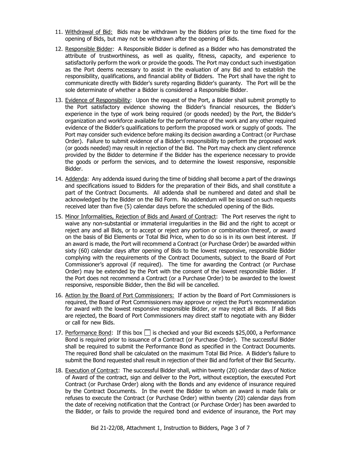- 11. Withdrawal of Bid: Bids may be withdrawn by the Bidders prior to the time fixed for the opening of Bids, but may not be withdrawn after the opening of Bids.
- 12. Responsible Bidder: A Responsible Bidder is defined as a Bidder who has demonstrated the attribute of trustworthiness, as well as quality, fitness, capacity, and experience to satisfactorily perform the work or provide the goods. The Port may conduct such investigation as the Port deems necessary to assist in the evaluation of any Bid and to establish the responsibility, qualifications, and financial ability of Bidders. The Port shall have the right to communicate directly with Bidder's surety regarding Bidder's guaranty. The Port will be the sole determinate of whether a Bidder is considered a Responsible Bidder.
- 13. Evidence of Responsibility: Upon the request of the Port, a Bidder shall submit promptly to the Port satisfactory evidence showing the Bidder's financial resources, the Bidder's experience in the type of work being required (or goods needed) by the Port, the Bidder's organization and workforce available for the performance of the work and any other required evidence of the Bidder's qualifications to perform the proposed work or supply of goods. The Port may consider such evidence before making its decision awarding a Contract (or Purchase Order). Failure to submit evidence of a Bidder's responsibility to perform the proposed work (or goods needed) may result in rejection of the Bid. The Port may check any client reference provided by the Bidder to determine if the Bidder has the experience necessary to provide the goods or perform the services, and to determine the lowest responsive, responsible Bidder.
- 14. Addenda: Any addenda issued during the time of bidding shall become a part of the drawings and specifications issued to Bidders for the preparation of their Bids, and shall constitute a part of the Contract Documents. All addenda shall be numbered and dated and shall be acknowledged by the Bidder on the Bid Form. No addendum will be issued on such requests received later than five (5) calendar days before the scheduled opening of the Bids.
- 15. Minor Informalities, Rejection of Bids and Award of Contract: The Port reserves the right to waive any non-substantial or immaterial irregularities in the Bid and the right to accept or reject any and all Bids, or to accept or reject any portion or combination thereof, or award on the basis of Bid Elements or Total Bid Price, when to do so is in its own best interest. If an award is made, the Port will recommend a Contract (or Purchase Order) be awarded within sixty (60) calendar days after opening of Bids to the lowest responsive, responsible Bidder complying with the requirements of the Contract Documents, subject to the Board of Port Commissioner's approval (if required). The time for awarding the Contract (or Purchase Order) may be extended by the Port with the consent of the lowest responsible Bidder. If the Port does not recommend a Contract (or a Purchase Order) to be awarded to the lowest responsive, responsible Bidder, then the Bid will be cancelled.
- 16. Action by the Board of Port Commissioners: If action by the Board of Port Commissioners is required, the Board of Port Commissioners may approve or reject the Port's recommendation for award with the lowest responsive responsible Bidder, or may reject all Bids. If all Bids are rejected, the Board of Port Commissioners may direct staff to negotiate with any Bidder or call for new Bids.
- 17. Performance Bond: If this box  $\Box$  is checked and your Bid exceeds \$25,000, a Performance Bond is required prior to issuance of a Contract (or Purchase Order). The successful Bidder shall be required to submit the Performance Bond as specified in the Contract Documents. The required Bond shall be calculated on the maximum Total Bid Price. A Bidder's failure to submit the Bond requested shall result in rejection of their Bid and forfeit of their Bid Security.
- 18. Execution of Contract: The successful Bidder shall, within twenty (20) calendar days of Notice of Award of the contract, sign and deliver to the Port, without exception, the executed Port Contract (or Purchase Order) along with the Bonds and any evidence of insurance required by the Contract Documents. In the event the Bidder to whom an award is made fails or refuses to execute the Contract (or Purchase Order) within twenty (20) calendar days from the date of receiving notification that the Contract (or Purchase Order) has been awarded to the Bidder, or fails to provide the required bond and evidence of insurance, the Port may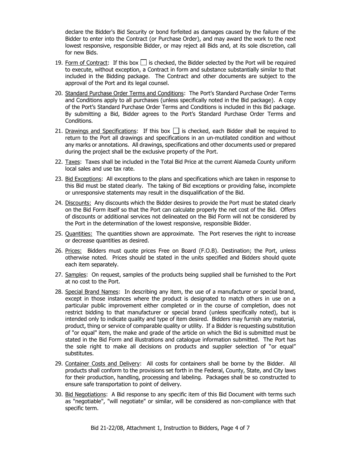declare the Bidder's Bid Security or bond forfeited as damages caused by the failure of the Bidder to enter into the Contract (or Purchase Order), and may award the work to the next lowest responsive, responsible Bidder, or may reject all Bids and, at its sole discretion, call for new Bids.

- 19. Form of Contract: If this box  $\Box$  is checked, the Bidder selected by the Port will be required to execute, without exception, a Contract in form and substance substantially similar to that included in the Bidding package. The Contract and other documents are subject to the approval of the Port and its legal counsel.
- 20. Standard Purchase Order Terms and Conditions: The Port's Standard Purchase Order Terms and Conditions apply to all purchases (unless specifically noted in the Bid package). A copy of the Port's Standard Purchase Order Terms and Conditions is included in this Bid package. By submitting a Bid, Bidder agrees to the Port's Standard Purchase Order Terms and Conditions.
- 21. Drawings and Specifications: If this box  $\Box$  is checked, each Bidder shall be required to return to the Port all drawings and specifications in an un-mutilated condition and without any marks or annotations. All drawings, specifications and other documents used or prepared during the project shall be the exclusive property of the Port.
- 22. Taxes: Taxes shall be included in the Total Bid Price at the current Alameda County uniform local sales and use tax rate.
- 23. Bid Exceptions: All exceptions to the plans and specifications which are taken in response to this Bid must be stated clearly. The taking of Bid exceptions or providing false, incomplete or unresponsive statements may result in the disqualification of the Bid.
- 24. Discounts: Any discounts which the Bidder desires to provide the Port must be stated clearly on the Bid Form itself so that the Port can calculate properly the net cost of the Bid. Offers of discounts or additional services not delineated on the Bid Form will not be considered by the Port in the determination of the lowest responsive, responsible Bidder.
- 25. Quantities: The quantities shown are approximate. The Port reserves the right to increase or decrease quantities as desired.
- 26. Prices: Bidders must quote prices Free on Board (F.O.B). Destination; the Port, unless otherwise noted. Prices should be stated in the units specified and Bidders should quote each item separately.
- 27. Samples: On request, samples of the products being supplied shall be furnished to the Port at no cost to the Port.
- 28. Special Brand Names: In describing any item, the use of a manufacturer or special brand, except in those instances where the product is designated to match others in use on a particular public improvement either completed or in the course of completion, does not restrict bidding to that manufacturer or special brand (unless specifically noted), but is intended only to indicate quality and type of item desired. Bidders may furnish any material, product, thing or service of comparable quality or utility. If a Bidder is requesting substitution of "or equal" item, the make and grade of the article on which the Bid is submitted must be stated in the Bid Form and illustrations and catalogue information submitted. The Port has the sole right to make all decisions on products and supplier selection of "or equal" substitutes.
- 29. Container Costs and Delivery: All costs for containers shall be borne by the Bidder. All products shall conform to the provisions set forth in the Federal, County, State, and City laws for their production, handling, processing and labeling. Packages shall be so constructed to ensure safe transportation to point of delivery.
- 30. Bid Negotiations: A Bid response to any specific item of this Bid Document with terms such as "negotiable", "will negotiate" or similar, will be considered as non-compliance with that specific term.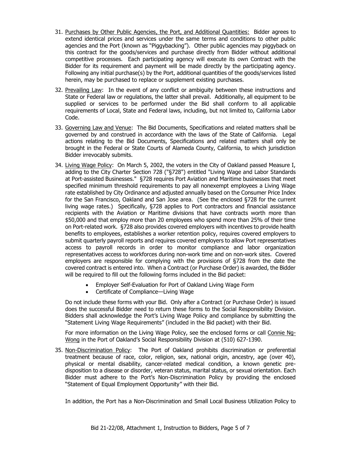- 31. Purchases by Other Public Agencies, the Port, and Additional Quantities: Bidder agrees to extend identical prices and services under the same terms and conditions to other public agencies and the Port (known as "Piggybacking"). Other public agencies may piggyback on this contract for the goods/services and purchase directly from Bidder without additional competitive processes. Each participating agency will execute its own Contract with the Bidder for its requirement and payment will be made directly by the participating agency. Following any initial purchase(s) by the Port, additional quantities of the goods/services listed herein, may be purchased to replace or supplement existing purchases.
- 32. Prevailing Law: In the event of any conflict or ambiguity between these instructions and State or Federal law or regulations, the latter shall prevail. Additionally, all equipment to be supplied or services to be performed under the Bid shall conform to all applicable requirements of Local, State and Federal laws, including, but not limited to, California Labor Code.
- 33. Governing Law and Venue: The Bid Documents, Specifications and related matters shall be governed by and construed in accordance with the laws of the State of California. Legal actions relating to the Bid Documents, Specifications and related matters shall only be brought in the Federal or State Courts of Alameda County, California, to which jurisdiction Bidder irrevocably submits.
- 34. Living Wage Policy: On March 5, 2002, the voters in the City of Oakland passed Measure I, adding to the City Charter Section 728 ("§728") entitled "Living Wage and Labor Standards at Port-assisted Businesses." §728 requires Port Aviation and Maritime businesses that meet specified minimum threshold requirements to pay all nonexempt employees a Living Wage rate established by City Ordinance and adjusted annually based on the Consumer Price Index for the San Francisco, Oakland and San Jose area. (See the enclosed §728 for the current living wage rates.) Specifically, §728 applies to Port contractors and financial assistance recipients with the Aviation or Maritime divisions that have contracts worth more than \$50,000 and that employ more than 20 employees who spend more than 25% of their time on Port-related work. §728 also provides covered employers with incentives to provide health benefits to employees, establishes a worker retention policy, requires covered employers to submit quarterly payroll reports and requires covered employers to allow Port representatives access to payroll records in order to monitor compliance and labor organization representatives access to workforces during non-work time and on non-work sites. Covered employers are responsible for complying with the provisions of §728 from the date the covered contract is entered into. When a Contract (or Purchase Order) is awarded, the Bidder will be required to fill out the following forms included in the Bid packet:
	- Employer Self-Evaluation for Port of Oakland Living Wage Form
	- Certificate of Compliance—Living Wage

Do not include these forms with your Bid. Only after a Contract (or Purchase Order) is issued does the successful Bidder need to return these forms to the Social Responsibility Division. Bidders shall acknowledge the Port's Living Wage Policy and compliance by submitting the "Statement Living Wage Requirements" (included in the Bid packet) with their Bid.

For more information on the Living Wage Policy, see the enclosed forms or call Connie Ng-Wong in the Port of Oakland's Social Responsibility Division at (510) 627-1390.

35. Non-Discrimination Policy: The Port of Oakland prohibits discrimination or preferential treatment because of race, color, religion, sex, national origin, ancestry, age (over 40), physical or mental disability, cancer-related medical condition, a known genetic predisposition to a disease or disorder, veteran status, marital status, or sexual orientation. Each Bidder must adhere to the Port's Non-Discrimination Policy by providing the enclosed "Statement of Equal Employment Opportunity" with their Bid.

In addition, the Port has a Non-Discrimination and Small Local Business Utilization Policy to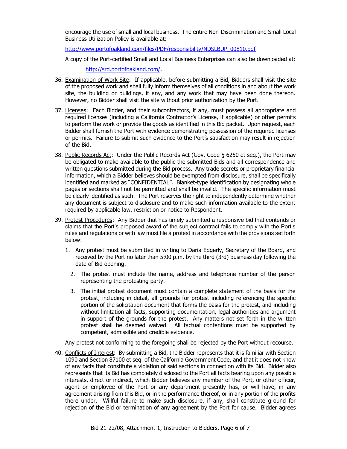encourage the use of small and local business. The entire Non-Discrimination and Small Local Business Utilization Policy is available at:

[http://www.portofoakland.com/files/PDF/responsibility/NDSLBUP\\_00810.pdf](http://www.portofoakland.com/files/PDF/responsibility/NDSLBUP_00810.pdf)

A copy of the Port-certified Small and Local Business Enterprises can also be downloaded at:

[http://srd.portofoakland.com/.](http://srd.portofoakland.com/)

- 36. Examination of Work Site: If applicable, before submitting a Bid, Bidders shall visit the site of the proposed work and shall fully inform themselves of all conditions in and about the work site, the building or buildings, if any, and any work that may have been done thereon. However, no Bidder shall visit the site without prior authorization by the Port.
- 37. Licenses: Each Bidder, and their subcontractors, if any, must possess all appropriate and required licenses (including a California Contractor's License, if applicable) or other permits to perform the work or provide the goods as identified in this Bid packet. Upon request, each Bidder shall furnish the Port with evidence demonstrating possession of the required licenses or permits. Failure to submit such evidence to the Port's satisfaction may result in rejection of the Bid.
- 38. Public Records Act: Under the Public Records Act (Gov. Code § 6250 et seq.), the Port may be obligated to make available to the public the submitted Bids and all correspondence and written questions submitted during the Bid process. Any trade secrets or proprietary financial information, which a Bidder believes should be exempted from disclosure, shall be specifically identified and marked as "CONFIDENTIAL". Blanket-type identification by designating whole pages or sections shall not be permitted and shall be invalid. The specific information must be clearly identified as such. The Port reserves the right to independently determine whether any document is subject to disclosure and to make such information available to the extent required by applicable law, restriction or notice to Respondent.
- 39. Protest Procedures:Any Bidder that has timely submitted a responsive bid that contends or claims that the Port's proposed award of the subject contract fails to comply with the Port's rules and regulations or with law must file a protest in accordance with the provisions set forth below:
	- 1. Any protest must be submitted in writing to Daria Edgerly, Secretary of the Board, and received by the Port no later than 5:00 p.m. by the third (3rd) business day following the date of Bid opening.
		- 2. The protest must include the name, address and telephone number of the person representing the protesting party.
		- 3. The initial protest document must contain a complete statement of the basis for the protest, including in detail, all grounds for protest including referencing the specific portion of the solicitation document that forms the basis for the protest, and including without limitation all facts, supporting documentation, legal authorities and argument in support of the grounds for the protest. Any matters not set forth in the written protest shall be deemed waived. All factual contentions must be supported by competent, admissible and credible evidence.

Any protest not conforming to the foregoing shall be rejected by the Port without recourse.

40. Conflicts of Interest: By submitting a Bid, the Bidder represents that it is familiar with Section 1090 and Section 87100 et seq. of the California Government Code, and that it does not know of any facts that constitute a violation of said sections in connection with its Bid. Bidder also represents that its Bid has completely disclosed to the Port all facts bearing upon any possible interests, direct or indirect, which Bidder believes any member of the Port, or other officer, agent or employee of the Port or any department presently has, or will have, in any agreement arising from this Bid, or in the performance thereof, or in any portion of the profits there under. Willful failure to make such disclosure, if any, shall constitute ground for rejection of the Bid or termination of any agreement by the Port for cause. Bidder agrees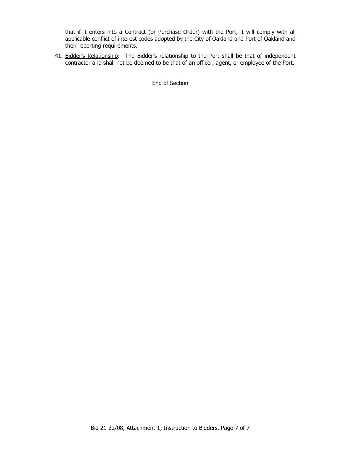that if it enters into a Contract (or Purchase Order) with the Port, it will comply with all applicable conflict of interest codes adopted by the City of Oakland and Port of Oakland and their reporting requirements.

41. Bidder's Relationship: The Bidder's relationship to the Port shall be that of independent contractor and shall not be deemed to be that of an officer, agent, or employee of the Port.

End of Section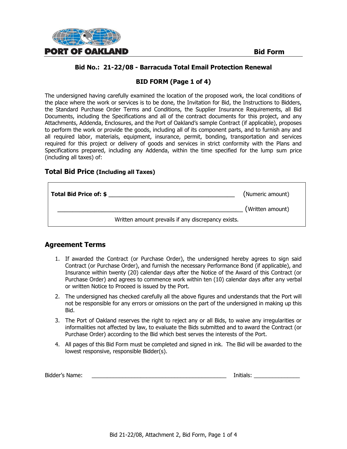

# **BID FORM (Page 1 of 4)**

The undersigned having carefully examined the location of the proposed work, the local conditions of the place where the work or services is to be done, the Invitation for Bid, the Instructions to Bidders, the Standard Purchase Order Terms and Conditions, the Supplier Insurance Requirements, all Bid Documents, including the Specifications and all of the contract documents for this project, and any Attachments, Addenda, Enclosures, and the Port of Oakland's sample Contract (if applicable), proposes to perform the work or provide the goods, including all of its component parts, and to furnish any and all required labor, materials, equipment, insurance, permit, bonding, transportation and services required for this project or delivery of goods and services in strict conformity with the Plans and Specifications prepared, including any Addenda, within the time specified for the lump sum price (including all taxes) of:

#### **Total Bid Price (Including all Taxes)**

| Total Bid Price of: \$ | (Numeric amount)                                   |
|------------------------|----------------------------------------------------|
|                        | (Written amount)                                   |
|                        | Written amount prevails if any discrepancy exists. |

# **Agreement Terms**

- 1. If awarded the Contract (or Purchase Order), the undersigned hereby agrees to sign said Contract (or Purchase Order), and furnish the necessary Performance Bond (if applicable), and Insurance within twenty (20) calendar days after the Notice of the Award of this Contract (or Purchase Order) and agrees to commence work within ten (10) calendar days after any verbal or written Notice to Proceed is issued by the Port.
- 2. The undersigned has checked carefully all the above figures and understands that the Port will not be responsible for any errors or omissions on the part of the undersigned in making up this Bid.
- 3. The Port of Oakland reserves the right to reject any or all Bids, to waive any irregularities or informalities not affected by law, to evaluate the Bids submitted and to award the Contract (or Purchase Order) according to the Bid which best serves the interests of the Port.
- 4. All pages of this Bid Form must be completed and signed in ink. The Bid will be awarded to the lowest responsive, responsible Bidder(s).

| Bidder's Name: |  | Initials: |
|----------------|--|-----------|
|----------------|--|-----------|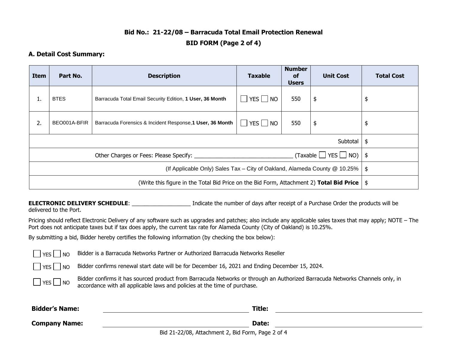# **Bid No.: 21-22/08 – Barracuda Total Email Protection Renewal BID FORM (Page 2 of 4)**

#### **A. Detail Cost Summary:**

| Item                                                                                          | Part No.     | <b>Description</b>                                        | <b>Taxable</b>       | <b>Number</b><br><b>of</b><br><b>Users</b> | <b>Unit Cost</b> | <b>Total Cost</b> |
|-----------------------------------------------------------------------------------------------|--------------|-----------------------------------------------------------|----------------------|--------------------------------------------|------------------|-------------------|
| ı.                                                                                            | <b>BTES</b>  | Barracuda Total Email Security Edition, 1 User, 36 Month  | $\Box$ YES $\Box$ NO | 550                                        | \$               | \$                |
| 2.                                                                                            | BEO001A-BFIR | Barracuda Forensics & Incident Response, 1 User, 36 Month | $\Box$ YES $\Box$ NO | 550                                        | \$               | \$                |
| Subtotal                                                                                      |              |                                                           |                      | -\$                                        |                  |                   |
|                                                                                               |              |                                                           |                      |                                            |                  |                   |
| (If Applicable Only) Sales Tax - City of Oakland, Alameda County @ 10.25%   \$                |              |                                                           |                      |                                            |                  |                   |
| (Write this figure in the Total Bid Price on the Bid Form, Attachment 2) Total Bid Price   \$ |              |                                                           |                      |                                            |                  |                   |

**ELECTRONIC DELIVERY SCHEDULE:** Indicate the number of days after receipt of a Purchase Order the products will be

delivered to the Port.

Pricing should reflect Electronic Delivery of any software such as upgrades and patches; also include any applicable sales taxes that may apply; NOTE – The Port does not anticipate taxes but if tax does apply, the current tax rate for Alameda County (City of Oakland) is 10.25%.

By submitting a bid, Bidder hereby certifies the following information (by checking the box below):

|  | $_{\rm YES}$ $\Box$ NO Bidder is a Barracuda Networks Partner or Authorized Barracuda Networks Reseller |  |  |  |
|--|---------------------------------------------------------------------------------------------------------|--|--|--|
|--|---------------------------------------------------------------------------------------------------------|--|--|--|

 $\Box$  YES  $\Box$  NO Bidder confirms renewal start date will be for December 16, 2021 and Ending December 15, 2024.

| $YES$ NO | Bidder confirms it has sourced product from Barracuda Networks or through an Authorized Barracuda Networks Channels only, in |
|----------|------------------------------------------------------------------------------------------------------------------------------|
|          | accordance with all applicable laws and policies at the time of purchase.                                                    |

| <b>Bidder's Name:</b> |                                                   | Title: |  |
|-----------------------|---------------------------------------------------|--------|--|
| <b>Company Name:</b>  |                                                   | Date:  |  |
|                       | Bid 21-22/08, Attachment 2, Bid Form, Page 2 of 4 |        |  |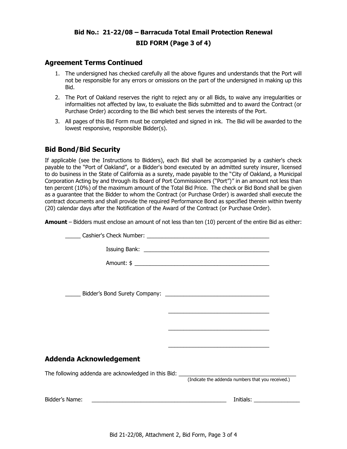# **Bid No.: 21-22/08 – Barracuda Total Email Protection Renewal BID FORM (Page 3 of 4)**

#### **Agreement Terms Continued**

- 1. The undersigned has checked carefully all the above figures and understands that the Port will not be responsible for any errors or omissions on the part of the undersigned in making up this Bid.
- 2. The Port of Oakland reserves the right to reject any or all Bids, to waive any irregularities or informalities not affected by law, to evaluate the Bids submitted and to award the Contract (or Purchase Order) according to the Bid which best serves the interests of the Port.
- 3. All pages of this Bid Form must be completed and signed in ink. The Bid will be awarded to the lowest responsive, responsible Bidder(s).

# **Bid Bond/Bid Security**

If applicable (see the Instructions to Bidders), each Bid shall be accompanied by a cashier's check payable to the "Port of Oakland", or a Bidder's bond executed by an admitted surety insurer, licensed to do business in the State of California as a surety, made payable to the "City of Oakland, a Municipal Corporation Acting by and through its Board of Port Commissioners ("Port")" in an amount not less than ten percent (10%) of the maximum amount of the Total Bid Price. The check or Bid Bond shall be given as a guarantee that the Bidder to whom the Contract (or Purchase Order) is awarded shall execute the contract documents and shall provide the required Performance Bond as specified therein within twenty (20) calendar days after the Notification of the Award of the Contract (or Purchase Order).

**Amount** – Bidders must enclose an amount of not less than ten (10) percent of the entire Bid as either:

|                                                                                                                                        | <u> 1989 - Johann Stein, marwolaethau a bhann an t-Amhair ann an t-Amhair an t-Amhair an t-Amhair an t-Amhair an</u> |  |  |  |  |  |
|----------------------------------------------------------------------------------------------------------------------------------------|----------------------------------------------------------------------------------------------------------------------|--|--|--|--|--|
|                                                                                                                                        |                                                                                                                      |  |  |  |  |  |
|                                                                                                                                        |                                                                                                                      |  |  |  |  |  |
| Addenda Acknowledgement                                                                                                                |                                                                                                                      |  |  |  |  |  |
| The following addenda are acknowledged in this Bid: _____________________________<br>(Indicate the addenda numbers that you received.) |                                                                                                                      |  |  |  |  |  |
|                                                                                                                                        |                                                                                                                      |  |  |  |  |  |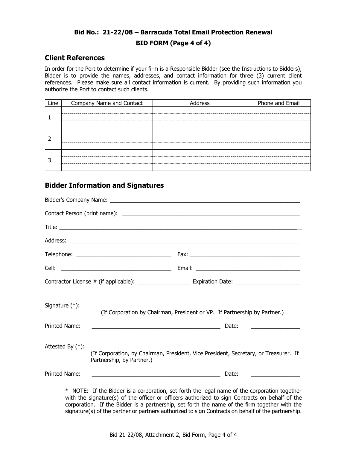# **Bid No.: 21-22/08 – Barracuda Total Email Protection Renewal BID FORM (Page 4 of 4)**

#### **Client References**

In order for the Port to determine if your firm is a Responsible Bidder (see the Instructions to Bidders), Bidder is to provide the names, addresses, and contact information for three (3) current client references. Please make sure all contact information is current. By providing such information you authorize the Port to contact such clients.

| Line | Company Name and Contact | Address | Phone and Email |
|------|--------------------------|---------|-----------------|
|      |                          |         |                 |
|      |                          |         |                 |
|      |                          |         |                 |

# **Bidder Information and Signatures**

|                     | (If Corporation by Chairman, President or VP. If Partnership by Partner.)                                                                                                                                                                                 |  |
|---------------------|-----------------------------------------------------------------------------------------------------------------------------------------------------------------------------------------------------------------------------------------------------------|--|
| Printed Name:       | Date:<br><u> 1989 - Johann Harry Harry Harry Harry Harry Harry Harry Harry Harry Harry Harry Harry Harry Harry Harry Harry</u><br><u> The Communication of the Communication of the Communication of the Communication of the Communication of the Co</u> |  |
| Attested By $(*)$ : | (If Corporation, by Chairman, President, Vice President, Secretary, or Treasurer. If<br>Partnership, by Partner.)                                                                                                                                         |  |
| Printed Name:       | <u> 2002 - Andrea Albert III, am bhaile an t-Iomraidh ann an t-Iomraidh ann an t-Iomraidh ann an t-Iomraidh ann an</u><br>Date:<br><u> 1989 - Alexandr Alexandr III (b. 19</u>                                                                            |  |
|                     | The construction of the contract of the contract of the contract of the contract of the contract of the contract of the contract of the contract of the contract of the contract of the contract of the contract of the contr                             |  |

\* NOTE: If the Bidder is a corporation, set forth the legal name of the corporation together with the signature(s) of the officer or officers authorized to sign Contracts on behalf of the corporation. If the Bidder is a partnership, set forth the name of the firm together with the signature(s) of the partner or partners authorized to sign Contracts on behalf of the partnership.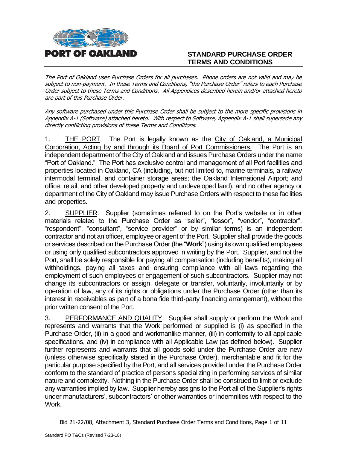

# **STANDARD PURCHASE ORDER TERMS AND CONDITIONS**

The Port of Oakland uses Purchase Orders for all purchases. Phone orders are not valid and may be subject to non-payment. In these Terms and Conditions, "the Purchase Order" refers to each Purchase Order subject to these Terms and Conditions. All Appendices described herein and/or attached hereto are part of this Purchase Order.

Any software purchased under this Purchase Order shall be subject to the more specific provisions in Appendix A-1 (Software) attached hereto. With respect to Software, Appendix A-1 shall supersede any directly conflicting provisions of these Terms and Conditions.

1. THE PORT. The Port is legally known as the City of Oakland, a Municipal Corporation, Acting by and through its Board of Port Commissioners. The Port is an independent department of the City of Oakland and issues Purchase Orders under the name "Port of Oakland." The Port has exclusive control and management of all Port facilities and properties located in Oakland, CA (including, but not limited to, marine terminals, a railway intermodal terminal, and container storage areas; the Oakland International Airport; and office, retail, and other developed property and undeveloped land), and no other agency or department of the City of Oakland may issue Purchase Orders with respect to these facilities and properties.

2. SUPPLIER. Supplier (sometimes referred to on the Port's website or in other materials related to the Purchase Order as "seller", "lessor", "vendor", "contractor", "respondent", "consultant", "service provider" or by similar terms) is an independent contractor and not an officer, employee or agent of the Port. Supplier shall provide the goods or services described on the Purchase Order (the "**Work**") using its own qualified employees or using only qualified subcontractors approved in writing by the Port. Supplier, and not the Port, shall be solely responsible for paying all compensation (including benefits), making all withholdings, paying all taxes and ensuring compliance with all laws regarding the employment of such employees or engagement of such subcontractors. Supplier may not change its subcontractors or assign, delegate or transfer, voluntarily, involuntarily or by operation of law, any of its rights or obligations under the Purchase Order (other than its interest in receivables as part of a bona fide third-party financing arrangement), without the prior written consent of the Port.

3. PERFORMANCE AND QUALITY. Supplier shall supply or perform the Work and represents and warrants that the Work performed or supplied is (i) as specified in the Purchase Order, (ii) in a good and workmanlike manner, (iii) in conformity to all applicable specifications, and (iv) in compliance with all Applicable Law (as defined below). Supplier further represents and warrants that all goods sold under the Purchase Order are new (unless otherwise specifically stated in the Purchase Order), merchantable and fit for the particular purpose specified by the Port, and all services provided under the Purchase Order conform to the standard of practice of persons specializing in performing services of similar nature and complexity. Nothing in the Purchase Order shall be construed to limit or exclude any warranties implied by law. Supplier hereby assigns to the Port all of the Supplier's rights under manufacturers', subcontractors' or other warranties or indemnities with respect to the Work.

Bid 21-22/08, Attachment 3, Standard Purchase Order Terms and Conditions, Page 1 of 11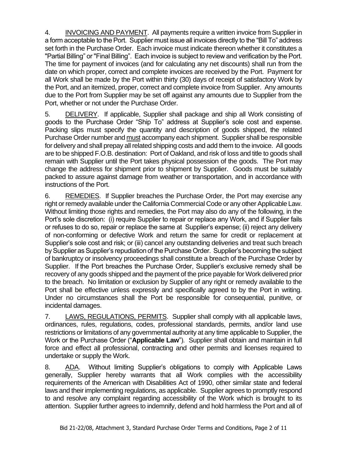4. INVOICING AND PAYMENT. All payments require a written invoice from Supplier in a form acceptable to the Port. Supplier must issue all invoices directly to the "Bill To" address set forth in the Purchase Order. Each invoice must indicate thereon whether it constitutes a "Partial Billing" or "Final Billing". Each invoice is subject to review and verification by the Port. The time for payment of invoices (and for calculating any net discounts) shall run from the date on which proper, correct and complete invoices are received by the Port. Payment for all Work shall be made by the Port within thirty (30) days of receipt of satisfactory Work by the Port, and an itemized, proper, correct and complete invoice from Supplier. Any amounts due to the Port from Supplier may be set off against any amounts due to Supplier from the Port, whether or not under the Purchase Order.

5. DELIVERY. If applicable, Supplier shall package and ship all Work consisting of goods to the Purchase Order "Ship To" address at Supplier's sole cost and expense. Packing slips must specify the quantity and description of goods shipped, the related Purchase Order number and must accompany each shipment. Supplier shall be responsible for delivery and shall prepay all related shipping costs and add them to the invoice. All goods are to be shipped F.O.B. destination: Port of Oakland, and risk of loss and title to goods shall remain with Supplier until the Port takes physical possession of the goods. The Port may change the address for shipment prior to shipment by Supplier. Goods must be suitably packed to assure against damage from weather or transportation, and in accordance with instructions of the Port.

6. REMEDIES. If Supplier breaches the Purchase Order, the Port may exercise any right or remedy available under the California Commercial Code or any other Applicable Law. Without limiting those rights and remedies, the Port may also do any of the following, in the Port's sole discretion: (i) require Supplier to repair or replace any Work, and if Supplier fails or refuses to do so, repair or replace the same at Supplier's expense; (ii) reject any delivery of non-conforming or defective Work and return the same for credit or replacement at Supplier's sole cost and risk; or (iii) cancel any outstanding deliveries and treat such breach by Supplier as Supplier's repudiation of the Purchase Order. Supplier's becoming the subject of bankruptcy or insolvency proceedings shall constitute a breach of the Purchase Order by Supplier. If the Port breaches the Purchase Order, Supplier's exclusive remedy shall be recovery of any goods shipped and the payment of the price payable for Work delivered prior to the breach. No limitation or exclusion by Supplier of any right or remedy available to the Port shall be effective unless expressly and specifically agreed to by the Port in writing. Under no circumstances shall the Port be responsible for consequential, punitive, or incidental damages.

7. LAWS, REGULATIONS, PERMITS. Supplier shall comply with all applicable laws, ordinances, rules, regulations, codes, professional standards, permits, and/or land use restrictions or limitations of any governmental authority at any time applicable to Supplier, the Work or the Purchase Order ("**Applicable Law**"). Supplier shall obtain and maintain in full force and effect all professional, contracting and other permits and licenses required to undertake or supply the Work.

8. ADA. Without limiting Supplier's obligations to comply with Applicable Laws generally, Supplier hereby warrants that all Work complies with the accessibility requirements of the American with Disabilities Act of 1990, other similar state and federal laws and their implementing regulations, as applicable. Supplier agrees to promptly respond to and resolve any complaint regarding accessibility of the Work which is brought to its attention. Supplier further agrees to indemnify, defend and hold harmless the Port and all of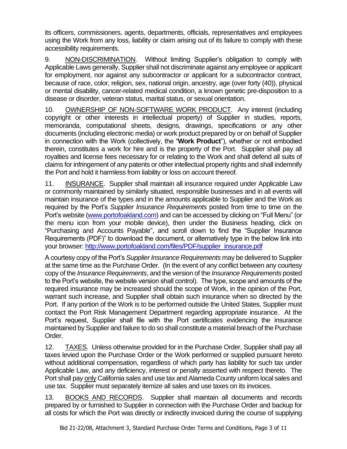its officers, commissioners, agents, departments, officials, representatives and employees using the Work from any loss, liability or claim arising out of its failure to comply with these accessibility requirements.

9. NON-DISCRIMINATION. Without limiting Supplier's obligation to comply with Applicable Laws generally, Supplier shall not discriminate against any employee or applicant for employment, nor against any subcontractor or applicant for a subcontractor contract, because of race, color, religion, sex, national origin, ancestry, age (over forty (40)), physical or mental disability, cancer-related medical condition, a known genetic pre-disposition to a disease or disorder, veteran status, marital status, or sexual orientation.

10. OWNERSHIP OF NON-SOFTWARE WORK PRODUCT. Any interest (including copyright or other interests in intellectual property) of Supplier in studies, reports, memoranda, computational sheets, designs, drawings, specifications or any other documents (including electronic media) or work product prepared by or on behalf of Supplier in connection with the Work (collectively, the "**Work Product**"), whether or not embodied therein, constitutes a work for hire and is the property of the Port. Supplier shall pay all royalties and license fees necessary for or relating to the Work and shall defend all suits of claims for infringement of any patents or other intellectual property rights and shall indemnify the Port and hold it harmless from liability or loss on account thereof.

11. INSURANCE. Supplier shall maintain all insurance required under Applicable Law or commonly maintained by similarly situated, responsible businesses and in all events will maintain insurance of the types and in the amounts applicable to Supplier and the Work as required by the Port's *Supplier Insurance Requirements* posted from time to time on the Port's website [\(www.portofoakland.com\)](http://www.portofoakland.com/) and can be accessed by clicking on "Full Menu" (or the menu icon from your mobile device), then under the Business heading, click on "Purchasing and Accounts Payable", and scroll down to find the "Supplier Insurance Requirements (PDF)" to download the document, or alternatively type in the below link into your browser: [http://www.portofoakland.com/files/PDF/supplier\\_insurance.pdf](http://www.portofoakland.com/files/PDF/supplier_insurance.pdf)

A courtesy copy of the Port's *Supplier Insurance Requirements* may be delivered to Supplier at the same time as the Purchase Order. (In the event of any conflict between any courtesy copy of the *Insurance Requirements*, and the version of the *Insurance Requirements* posted to the Port's website, the website version shall control). The type, scope and amounts of the required insurance may be increased should the scope of Work, in the opinion of the Port, warrant such increase, and Supplier shall obtain such insurance when so directed by the Port. If any portion of the Work is to be performed outside the United States, Supplier must contact the Port Risk Management Department regarding appropriate insurance. At the Port's request, Supplier shall file with the Port certificates evidencing the insurance maintained by Supplier and failure to do so shall constitute a material breach of the Purchase Order.

12. TAXES. Unless otherwise provided for in the Purchase Order, Supplier shall pay all taxes levied upon the Purchase Order or the Work performed or supplied pursuant hereto without additional compensation, regardless of which party has liability for such tax under Applicable Law, and any deficiency, interest or penalty asserted with respect thereto. The Port shall pay only California sales and use tax and Alameda County uniform local sales and use tax. Supplier must separately itemize all sales and use taxes on its invoices.

13. BOOKS AND RECORDS. Supplier shall maintain all documents and records prepared by or furnished to Supplier in connection with the Purchase Order and backup for all costs for which the Port was directly or indirectly invoiced during the course of supplying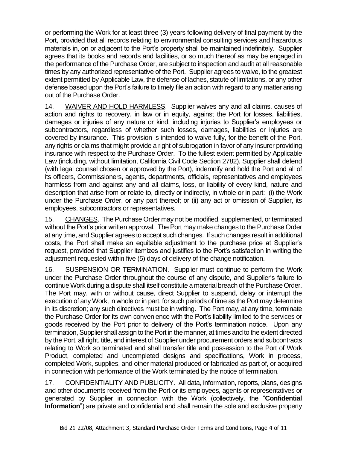or performing the Work for at least three (3) years following delivery of final payment by the Port, provided that all records relating to environmental consulting services and hazardous materials in, on or adjacent to the Port's property shall be maintained indefinitely. Supplier agrees that its books and records and facilities, or so much thereof as may be engaged in the performance of the Purchase Order, are subject to inspection and audit at all reasonable times by any authorized representative of the Port. Supplier agrees to waive, to the greatest extent permitted by Applicable Law, the defense of laches, statute of limitations, or any other defense based upon the Port's failure to timely file an action with regard to any matter arising out of the Purchase Order.

14. WAIVER AND HOLD HARMLESS. Supplier waives any and all claims, causes of action and rights to recovery, in law or in equity, against the Port for losses, liabilities, damages or injuries of any nature or kind, including injuries to Supplier's employees or subcontractors, regardless of whether such losses, damages, liabilities or injuries are covered by insurance. This provision is intended to waive fully, for the benefit of the Port, any rights or claims that might provide a right of subrogation in favor of any insurer providing insurance with respect to the Purchase Order. To the fullest extent permitted by Applicable Law (including, without limitation, California Civil Code Section 2782), Supplier shall defend (with legal counsel chosen or approved by the Port), indemnify and hold the Port and all of its officers, Commissioners, agents, departments, officials, representatives and employees harmless from and against any and all claims, loss, or liability of every kind, nature and description that arise from or relate to, directly or indirectly, in whole or in part: (i) the Work under the Purchase Order, or any part thereof; or (ii) any act or omission of Supplier, its employees, subcontractors or representatives.

15. CHANGES. The Purchase Order may not be modified, supplemented, or terminated without the Port's prior written approval. The Port may make changes to the Purchase Order at any time, and Supplier agrees to accept such changes. If such changes result in additional costs, the Port shall make an equitable adjustment to the purchase price at Supplier's request, provided that Supplier itemizes and justifies to the Port's satisfaction in writing the adjustment requested within five (5) days of delivery of the change notification.

16. SUSPENSION OR TERMINATION. Supplier must continue to perform the Work under the Purchase Order throughout the course of any dispute, and Supplier's failure to continue Work during a dispute shall itself constitute a material breach of the Purchase Order. The Port may, with or without cause, direct Supplier to suspend, delay or interrupt the execution of any Work, in whole or in part, for such periods of time as the Port may determine in its discretion; any such directives must be in writing. The Port may, at any time, terminate the Purchase Order for its own convenience with the Port's liability limited to the services or goods received by the Port prior to delivery of the Port's termination notice. Upon any termination, Supplier shall assign to the Port in the manner, at times and to the extent directed by the Port, all right, title, and interest of Supplier under procurement orders and subcontracts relating to Work so terminated and shall transfer title and possession to the Port of Work Product, completed and uncompleted designs and specifications, Work in process, completed Work, supplies, and other material produced or fabricated as part of, or acquired in connection with performance of the Work terminated by the notice of termination.

17. CONFIDENTIALITY AND PUBLICITY. All data, information, reports, plans, designs and other documents received from the Port or its employees, agents or representatives or generated by Supplier in connection with the Work (collectively, the "**Confidential Information**") are private and confidential and shall remain the sole and exclusive property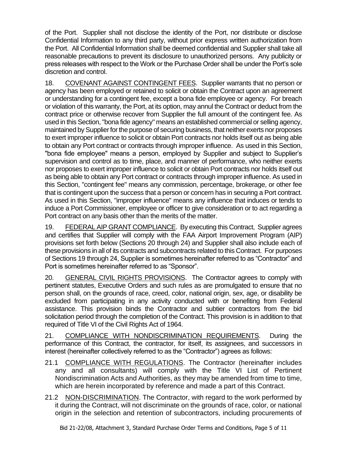of the Port. Supplier shall not disclose the identity of the Port, nor distribute or disclose Confidential Information to any third party, without prior express written authorization from the Port. All Confidential Information shall be deemed confidential and Supplier shall take all reasonable precautions to prevent its disclosure to unauthorized persons. Any publicity or press releases with respect to the Work or the Purchase Order shall be under the Port's sole discretion and control.

18. COVENANT AGAINST CONTINGENT FEES. Supplier warrants that no person or agency has been employed or retained to solicit or obtain the Contract upon an agreement or understanding for a contingent fee, except a bona fide employee or agency. For breach or violation of this warranty, the Port, at its option, may annul the Contract or deduct from the contract price or otherwise recover from Supplier the full amount of the contingent fee. As used in this Section, "bona fide agency" means an established commercial or selling agency, maintained by Supplier for the purpose of securing business, that neither exerts nor proposes to exert improper influence to solicit or obtain Port contracts nor holds itself out as being able to obtain any Port contract or contracts through improper influence. As used in this Section, "bona fide employee" means a person, employed by Supplier and subject to Supplier's supervision and control as to time, place, and manner of performance, who neither exerts nor proposes to exert improper influence to solicit or obtain Port contracts nor holds itself out as being able to obtain any Port contract or contracts through improper influence. As used in this Section, "contingent fee" means any commission, percentage, brokerage, or other fee that is contingent upon the success that a person or concern has in securing a Port contract. As used in this Section, "improper influence" means any influence that induces or tends to induce a Port Commissioner, employee or officer to give consideration or to act regarding a Port contract on any basis other than the merits of the matter.

19. FEDERAL AIP GRANT COMPLIANCE. By executing this Contract, Supplier agrees and certifies that Supplier will comply with the FAA Airport Improvement Program (AIP) provisions set forth below (Sections 20 through 24) and Supplier shall also include each of these provisions in all of its contracts and subcontracts related to this Contract. For purposes of Sections 19 through 24, Supplier is sometimes hereinafter referred to as "Contractor" and Port is sometimes hereinafter referred to as "Sponsor".

20. GENERAL CIVIL RIGHTS PROVISIONS.The Contractor agrees to comply with pertinent statutes, Executive Orders and such rules as are promulgated to ensure that no person shall, on the grounds of race, creed, color, national origin, sex, age, or disability be excluded from participating in any activity conducted with or benefiting from Federal assistance. This provision binds the Contractor and subtier contractors from the bid solicitation period through the completion of the Contract. This provision is in addition to that required of Title VI of the Civil Rights Act of 1964.

21. COMPLIANCE WITH NONDISCRIMINATION REQUIREMENTS. During the performance of this Contract, the contractor, for itself, its assignees, and successors in interest (hereinafter collectively referred to as the "Contractor") agrees as follows:

- 21.1 COMPLIANCE WITH REGULATIONS. The Contractor (hereinafter includes any and all consultants) will comply with the Title VI List of Pertinent Nondiscrimination Acts and Authorities, as they may be amended from time to time, which are herein incorporated by reference and made a part of this Contract.
- 21.2 NON-DISCRIMINATION. The Contractor, with regard to the work performed by it during the Contract, will not discriminate on the grounds of race, color, or national origin in the selection and retention of subcontractors, including procurements of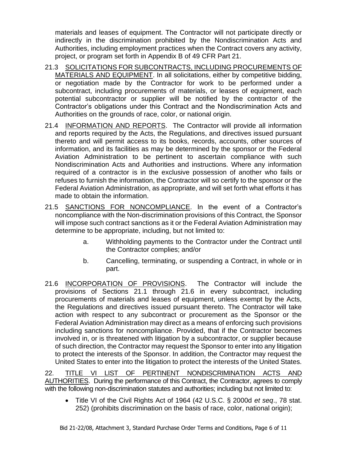materials and leases of equipment. The Contractor will not participate directly or indirectly in the discrimination prohibited by the Nondiscrimination Acts and Authorities, including employment practices when the Contract covers any activity, project, or program set forth in Appendix B of 49 CFR Part 21.

- 21.3 SOLICITATIONS FOR SUBCONTRACTS, INCLUDING PROCUREMENTS OF MATERIALS AND EQUIPMENT. In all solicitations, either by competitive bidding, or negotiation made by the Contractor for work to be performed under a subcontract, including procurements of materials, or leases of equipment, each potential subcontractor or supplier will be notified by the contractor of the Contractor's obligations under this Contract and the Nondiscrimination Acts and Authorities on the grounds of race, color, or national origin.
- 21.4 INFORMATION AND REPORTS. The Contractor will provide all information and reports required by the Acts, the Regulations, and directives issued pursuant thereto and will permit access to its books, records, accounts, other sources of information, and its facilities as may be determined by the sponsor or the Federal Aviation Administration to be pertinent to ascertain compliance with such Nondiscrimination Acts and Authorities and instructions. Where any information required of a contractor is in the exclusive possession of another who fails or refuses to furnish the information, the Contractor will so certify to the sponsor or the Federal Aviation Administration, as appropriate, and will set forth what efforts it has made to obtain the information.
- 21.5 SANCTIONS FOR NONCOMPLIANCE. In the event of a Contractor's noncompliance with the Non-discrimination provisions of this Contract, the Sponsor will impose such contract sanctions as it or the Federal Aviation Administration may determine to be appropriate, including, but not limited to:
	- a. Withholding payments to the Contractor under the Contract until the Contractor complies; and/or
	- b. Cancelling, terminating, or suspending a Contract, in whole or in part.
- 21.6 INCORPORATION OF PROVISIONS.The Contractor will include the provisions of Sections 21.1 through 21.6 in every subcontract, including procurements of materials and leases of equipment, unless exempt by the Acts, the Regulations and directives issued pursuant thereto. The Contractor will take action with respect to any subcontract or procurement as the Sponsor or the Federal Aviation Administration may direct as a means of enforcing such provisions including sanctions for noncompliance. Provided, that if the Contractor becomes involved in, or is threatened with litigation by a subcontractor, or supplier because of such direction, the Contractor may request the Sponsor to enter into any litigation to protect the interests of the Sponsor. In addition, the Contractor may request the United States to enter into the litigation to protect the interests of the United States.

22. TITLE VI LIST OF PERTINENT NONDISCRIMINATION ACTS AND AUTHORITIES. During the performance of this Contract, the Contractor, agrees to comply with the following non-discrimination statutes and authorities; including but not limited to:

• Title VI of the Civil Rights Act of 1964 (42 U.S.C. § 2000d *et seq*., 78 stat. 252) (prohibits discrimination on the basis of race, color, national origin);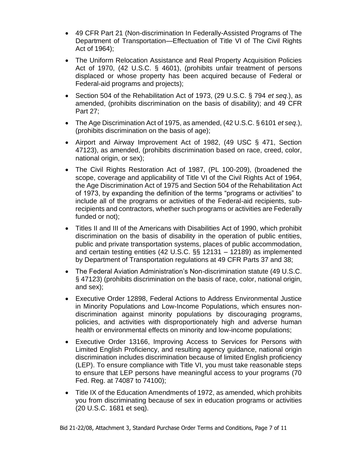- 49 CFR Part 21 (Non-discrimination In Federally-Assisted Programs of The Department of Transportation—Effectuation of Title VI of The Civil Rights Act of 1964);
- The Uniform Relocation Assistance and Real Property Acquisition Policies Act of 1970, (42 U.S.C. § 4601), (prohibits unfair treatment of persons displaced or whose property has been acquired because of Federal or Federal-aid programs and projects);
- Section 504 of the Rehabilitation Act of 1973, (29 U.S.C. § 794 *et seq*.), as amended, (prohibits discrimination on the basis of disability); and 49 CFR Part 27;
- The Age Discrimination Act of 1975, as amended, (42 U.S.C. § 6101 *et seq*.), (prohibits discrimination on the basis of age);
- Airport and Airway Improvement Act of 1982, (49 USC § 471, Section 47123), as amended, (prohibits discrimination based on race, creed, color, national origin, or sex);
- The Civil Rights Restoration Act of 1987, (PL 100-209), (broadened the scope, coverage and applicability of Title VI of the Civil Rights Act of 1964, the Age Discrimination Act of 1975 and Section 504 of the Rehabilitation Act of 1973, by expanding the definition of the terms "programs or activities" to include all of the programs or activities of the Federal-aid recipients, subrecipients and contractors, whether such programs or activities are Federally funded or not);
- Titles II and III of the Americans with Disabilities Act of 1990, which prohibit discrimination on the basis of disability in the operation of public entities, public and private transportation systems, places of public accommodation, and certain testing entities (42 U.S.C. §§ 12131 – 12189) as implemented by Department of Transportation regulations at 49 CFR Parts 37 and 38;
- The Federal Aviation Administration's Non-discrimination statute (49 U.S.C. § 47123) (prohibits discrimination on the basis of race, color, national origin, and sex);
- Executive Order 12898, Federal Actions to Address Environmental Justice in Minority Populations and Low-Income Populations, which ensures nondiscrimination against minority populations by discouraging programs, policies, and activities with disproportionately high and adverse human health or environmental effects on minority and low-income populations;
- Executive Order 13166, Improving Access to Services for Persons with Limited English Proficiency, and resulting agency guidance, national origin discrimination includes discrimination because of limited English proficiency (LEP). To ensure compliance with Title VI, you must take reasonable steps to ensure that LEP persons have meaningful access to your programs (70 Fed. Reg. at 74087 to 74100);
- Title IX of the Education Amendments of 1972, as amended, which prohibits you from discriminating because of sex in education programs or activities (20 U.S.C. 1681 et seq).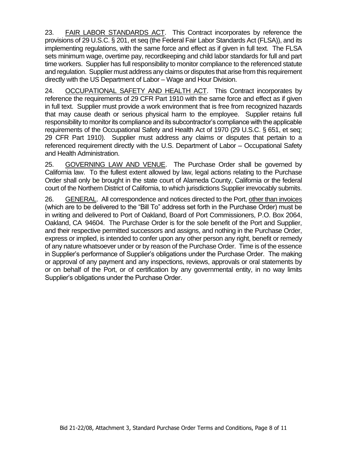23. FAIR LABOR STANDARDS ACT. This Contract incorporates by reference the provisions of 29 U.S.C. § 201, et seq (the Federal Fair Labor Standards Act (FLSA)), and its implementing regulations, with the same force and effect as if given in full text. The FLSA sets minimum wage, overtime pay, recordkeeping and child labor standards for full and part time workers. Supplier has full responsibility to monitor compliance to the referenced statute and regulation. Supplier must address any claims or disputes that arise from this requirement directly with the US Department of Labor – Wage and Hour Division.

24. OCCUPATIONAL SAFETY AND HEALTH ACT.This Contract incorporates by reference the requirements of 29 CFR Part 1910 with the same force and effect as if given in full text. Supplier must provide a work environment that is free from recognized hazards that may cause death or serious physical harm to the employee. Supplier retains full responsibility to monitor its compliance and its subcontractor's compliance with the applicable requirements of the Occupational Safety and Health Act of 1970 (29 U.S.C. § 651, et seq; 29 CFR Part 1910). Supplier must address any claims or disputes that pertain to a referenced requirement directly with the U.S. Department of Labor – Occupational Safety and Health Administration.

25. GOVERNING LAW AND VENUE. The Purchase Order shall be governed by California law. To the fullest extent allowed by law, legal actions relating to the Purchase Order shall only be brought in the state court of Alameda County, California or the federal court of the Northern District of California, to which jurisdictions Supplier irrevocably submits.

26. GENERAL. All correspondence and notices directed to the Port, other than invoices (which are to be delivered to the "Bill To" address set forth in the Purchase Order) must be in writing and delivered to Port of Oakland, Board of Port Commissioners, P.O. Box 2064, Oakland, CA 94604. The Purchase Order is for the sole benefit of the Port and Supplier, and their respective permitted successors and assigns, and nothing in the Purchase Order, express or implied, is intended to confer upon any other person any right, benefit or remedy of any nature whatsoever under or by reason of the Purchase Order. Time is of the essence in Supplier's performance of Supplier's obligations under the Purchase Order. The making or approval of any payment and any inspections, reviews, approvals or oral statements by or on behalf of the Port, or of certification by any governmental entity, in no way limits Supplier's obligations under the Purchase Order.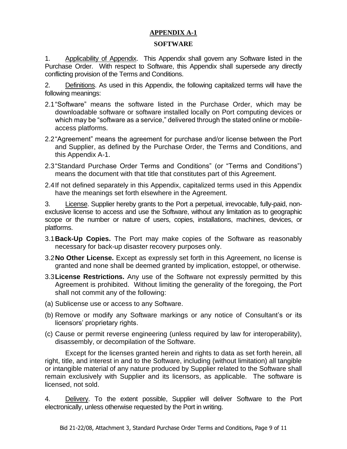# **APPENDIX A-1**

#### **SOFTWARE**

1. Applicability of Appendix. This Appendix shall govern any Software listed in the Purchase Order. With respect to Software, this Appendix shall supersede any directly conflicting provision of the Terms and Conditions.

2. Definitions. As used in this Appendix, the following capitalized terms will have the following meanings:

- 2.1"Software" means the software listed in the Purchase Order, which may be downloadable software or software installed locally on Port computing devices or which may be "software as a service," delivered through the stated online or mobileaccess platforms.
- 2.2"Agreement" means the agreement for purchase and/or license between the Port and Supplier, as defined by the Purchase Order, the Terms and Conditions, and this Appendix A-1.
- 2.3"Standard Purchase Order Terms and Conditions" (or "Terms and Conditions") means the document with that title that constitutes part of this Agreement.
- 2.4If not defined separately in this Appendix, capitalized terms used in this Appendix have the meanings set forth elsewhere in the Agreement.

3. License. Supplier hereby grants to the Port a perpetual, irrevocable, fully-paid, nonexclusive license to access and use the Software, without any limitation as to geographic scope or the number or nature of users, copies, installations, machines, devices, or platforms.

- 3.1**Back-Up Copies.** The Port may make copies of the Software as reasonably necessary for back-up disaster recovery purposes only.
- 3.2**No Other License.** Except as expressly set forth in this Agreement, no license is granted and none shall be deemed granted by implication, estoppel, or otherwise.
- 3.3**License Restrictions.** Any use of the Software not expressly permitted by this Agreement is prohibited. Without limiting the generality of the foregoing, the Port shall not commit any of the following:
- (a) Sublicense use or access to any Software.
- (b) Remove or modify any Software markings or any notice of Consultant's or its licensors' proprietary rights.
- (c) Cause or permit reverse engineering (unless required by law for interoperability), disassembly, or decompilation of the Software.

Except for the licenses granted herein and rights to data as set forth herein, all right, title, and interest in and to the Software, including (without limitation) all tangible or intangible material of any nature produced by Supplier related to the Software shall remain exclusively with Supplier and its licensors, as applicable. The software is licensed, not sold.

4. Delivery. To the extent possible, Supplier will deliver Software to the Port electronically, unless otherwise requested by the Port in writing.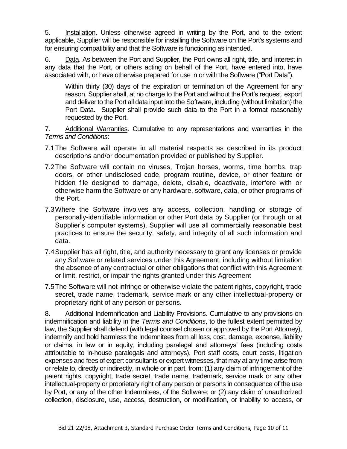5. Installation. Unless otherwise agreed in writing by the Port, and to the extent applicable, Supplier will be responsible for installing the Software on the Port's systems and for ensuring compatibility and that the Software is functioning as intended.

6. Data. As between the Port and Supplier, the Port owns all right, title, and interest in any data that the Port, or others acting on behalf of the Port, have entered into, have associated with, or have otherwise prepared for use in or with the Software ("Port Data").

Within thirty (30) days of the expiration or termination of the Agreement for any reason, Supplier shall, at no charge to the Port and without the Port's request, export and deliver to the Port all data input into the Software, including (without limitation) the Port Data. Supplier shall provide such data to the Port in a format reasonably requested by the Port.

7. Additional Warranties. Cumulative to any representations and warranties in the *Terms and Conditions*:

- 7.1The Software will operate in all material respects as described in its product descriptions and/or documentation provided or published by Supplier.
- 7.2The Software will contain no viruses, Trojan horses, worms, time bombs, trap doors, or other undisclosed code, program routine, device, or other feature or hidden file designed to damage, delete, disable, deactivate, interfere with or otherwise harm the Software or any hardware, software, data, or other programs of the Port.
- 7.3Where the Software involves any access, collection, handling or storage of personally-identifiable information or other Port data by Supplier (or through or at Supplier's computer systems), Supplier will use all commercially reasonable best practices to ensure the security, safety, and integrity of all such information and data.
- 7.4Supplier has all right, title, and authority necessary to grant any licenses or provide any Software or related services under this Agreement, including without limitation the absence of any contractual or other obligations that conflict with this Agreement or limit, restrict, or impair the rights granted under this Agreement
- 7.5The Software will not infringe or otherwise violate the patent rights, copyright, trade secret, trade name, trademark, service mark or any other intellectual-property or proprietary right of any person or persons.

8. Additional Indemnification and Liability Provisions. Cumulative to any provisions on indemnification and liability in the *Terms and Conditions*, to the fullest extent permitted by law, the Supplier shall defend (with legal counsel chosen or approved by the Port Attorney), indemnify and hold harmless the Indemnitees from all loss, cost, damage, expense, liability or claims, in law or in equity, including paralegal and attorneys' fees (including costs attributable to in-house paralegals and attorneys), Port staff costs, court costs, litigation expenses and fees of expert consultants or expert witnesses, that may at any time arise from or relate to, directly or indirectly, in whole or in part, from: (1) any claim of infringement of the patent rights, copyright, trade secret, trade name, trademark, service mark or any other intellectual-property or proprietary right of any person or persons in consequence of the use by Port, or any of the other Indemnitees, of the Software; or (2) any claim of unauthorized collection, disclosure, use, access, destruction, or modification, or inability to access, or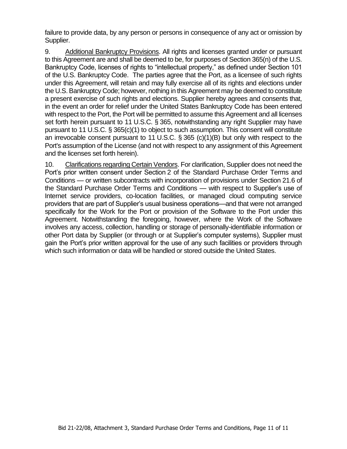failure to provide data, by any person or persons in consequence of any act or omission by Supplier.

9. Additional Bankruptcy Provisions. All rights and licenses granted under or pursuant to this Agreement are and shall be deemed to be, for purposes of Section 365(n) of the U.S. Bankruptcy Code, licenses of rights to "intellectual property," as defined under Section 101 of the U.S. Bankruptcy Code. The parties agree that the Port, as a licensee of such rights under this Agreement, will retain and may fully exercise all of its rights and elections under the U.S. Bankruptcy Code; however, nothing in this Agreement may be deemed to constitute a present exercise of such rights and elections. Supplier hereby agrees and consents that, in the event an order for relief under the United States Bankruptcy Code has been entered with respect to the Port, the Port will be permitted to assume this Agreement and all licenses set forth herein pursuant to 11 U.S.C. § 365, notwithstanding any right Supplier may have pursuant to 11 U.S.C. § 365(c)(1) to object to such assumption. This consent will constitute an irrevocable consent pursuant to 11 U.S.C. § 365 (c)(1)(B) but only with respect to the Port's assumption of the License (and not with respect to any assignment of this Agreement and the licenses set forth herein).

10. Clarifications regarding Certain Vendors. For clarification, Supplier does not need the Port's prior written consent under Section 2 of the Standard Purchase Order Terms and Conditions — or written subcontracts with incorporation of provisions under Section 21.6 of the Standard Purchase Order Terms and Conditions — with respect to Supplier's use of Internet service providers, co-location facilities, or managed cloud computing service providers that are part of Supplier's usual business operations—and that were not arranged specifically for the Work for the Port or provision of the Software to the Port under this Agreement. Notwithstanding the foregoing, however, where the Work of the Software involves any access, collection, handling or storage of personally-identifiable information or other Port data by Supplier (or through or at Supplier's computer systems), Supplier must gain the Port's prior written approval for the use of any such facilities or providers through which such information or data will be handled or stored outside the United States.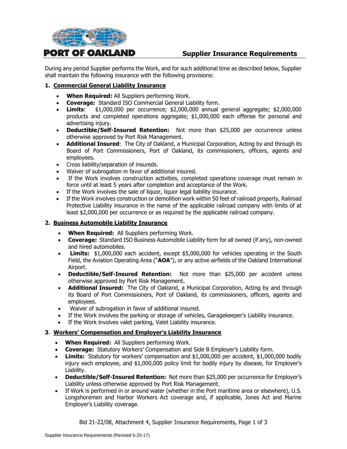

# **Supplier Insurance Requirements**

During any period Supplier performs the Work, and for such additional time as described below, Supplier shall maintain the following insurance with the following provisions:

#### **1. Commercial General Liability Insurance**

- **When Required:** All Suppliers performing Work.
- **Coverage:** Standard ISO Commercial General Liability form.
- **Limits**: \$1,000,000 per occurrence; \$2,000,000 annual general aggregate; \$2,000,000 products and completed operations aggregate; \$1,000,000 each offense for personal and advertising injury.
- **Deductible/Self-Insured Retention:** Not more than \$25,000 per occurrence unless otherwise approved by Port Risk Management.
- **Additional Insured**: The City of Oakland, a Municipal Corporation, Acting by and through its Board of Port Commissioners, Port of Oakland, its commissioners, officers, agents and employees.
- Cross liability/separation of insureds.
- Waiver of subrogation in favor of additional insured.
- If the Work involves construction activities, completed operations coverage must remain in force until at least 5 years after completion and acceptance of the Work.
- If the Work involves the sale of liquor, liquor legal liability insurance.
- If the Work involves construction or demolition work within 50 feet of railroad property, Railroad Protective Liability insurance in the name of the applicable railroad company with limits of at least \$2,000,000 per occurrence or as required by the applicable railroad company.

#### **2. Business Automobile Liability Insurance**

- **When Required:** All Suppliers performing Work.
- **Coverage:** Standard ISO Business Automobile Liability form for all owned (if any), non-owned and hired automobiles.
- **Limits:** \$1,000,000 each accident, except \$5,000,000 for vehicles operating in the South Field, the Aviation Operating Area ("**AOA**"), or any active airfields of the Oakland International Airport.
- **Deductible/Self-Insured Retention:** Not more than \$25,000 per accident unless otherwise approved by Port Risk Management.
- **Additional Insured:** The City of Oakland, a Municipal Corporation, Acting by and through its Board of Port Commissioners, Port of Oakland, its commissioners, officers, agents and employees.
- Waiver of subrogation in favor of additional insured.
- If the Work involves the parking or storage of vehicles, Garagekeeper's Liability insurance.
- If the Work involves valet parking, Valet Liability insurance.

#### **3**. **Workers' Compensation and Employer's Liability Insurance**

- **When Required:** All Suppliers performing Work.
- **Coverage:** Statutory Workers' Compensation and Side B Employer's Liability form.
- **Limits:** Statutory for workers' compensation and \$1,000,000 per accident, \$1,000,000 bodily injury each employee, and \$1,000,000 policy limit for bodily injury by disease, for Employer's Liability.
- **Deductible/Self-Insured Retention:** Not more than \$25,000 per occurrence for Employer's Liability unless otherwise approved by Port Risk Management.
- If Work is performed in or around water (whether in the Port maritime area or elsewhere), U.S. Longshoremen and Harbor Workers Act coverage and, if applicable, Jones Act and Marine Employer's Liability coverage.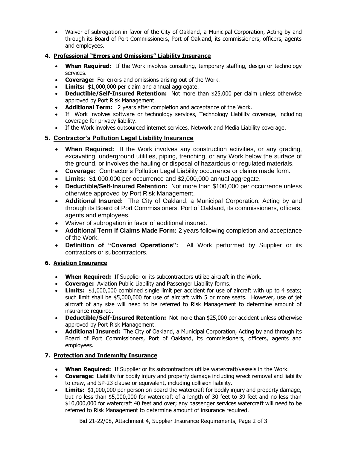• Waiver of subrogation in favor of the City of Oakland, a Municipal Corporation, Acting by and through its Board of Port Commissioners, Port of Oakland, its commissioners, officers, agents and employees.

#### **4**. **Professional "Errors and Omissions" Liability Insurance**

- **When Required:** If the Work involves consulting, temporary staffing, design or technology services.
- **Coverage:** For errors and omissions arising out of the Work.
- **Limits:** \$1,000,000 per claim and annual aggregate.
- **Deductible/Self-Insured Retention:** Not more than \$25,000 per claim unless otherwise approved by Port Risk Management.
- **Additional Term:** 2 years after completion and acceptance of the Work.
- If Work involves software or technology services, Technology Liability coverage, including coverage for privacy liability.
- If the Work involves outsourced internet services, Network and Media Liability coverage.

# **5. Contractor's Pollution Legal Liability Insurance**

- **When Required:** If the Work involves any construction activities, or any grading, excavating, underground utilities, piping, trenching, or any Work below the surface of the ground, or involves the hauling or disposal of hazardous or regulated materials.
- **Coverage:** Contractor's Pollution Legal Liability occurrence or claims made form.
- **Limits:** \$1,000,000 per occurrence and \$2,000,000 annual aggregate.
- **Deductible/Self-Insured Retention:** Not more than \$100,000 per occurrence unless otherwise approved by Port Risk Management.
- **Additional Insured:** The City of Oakland, a Municipal Corporation, Acting by and through its Board of Port Commissioners, Port of Oakland, its commissioners, officers, agents and employees.
- Waiver of subrogation in favor of additional insured.
- **Additional Term if Claims Made Form:** 2 years following completion and acceptance of the Work.
- **Definition of "Covered Operations":** All Work performed by Supplier or its contractors or subcontractors.

# **6. Aviation Insurance**

- **When Required:** If Supplier or its subcontractors utilize aircraft in the Work.
- **Coverage:** Aviation Public Liability and Passenger Liability forms.
- **Limits:** \$1,000,000 combined single limit per accident for use of aircraft with up to 4 seats; such limit shall be \$5,000,000 for use of aircraft with 5 or more seats. However, use of jet aircraft of any size will need to be referred to Risk Management to determine amount of insurance required.
- **Deductible/Self-Insured Retention:** Not more than \$25,000 per accident unless otherwise approved by Port Risk Management.
- **Additional Insured:** The City of Oakland, a Municipal Corporation, Acting by and through its Board of Port Commissioners, Port of Oakland, its commissioners, officers, agents and employees.

# **7. Protection and Indemnity Insurance**

- **When Required:** If Supplier or its subcontractors utilize watercraft/vessels in the Work.
- **Coverage:** Liability for bodily injury and property damage including wreck removal and liability to crew, and SP-23 clause or equivalent, including collision liability.
- **Limits:** \$1,000,000 per person on board the watercraft for bodily injury and property damage, but no less than \$5,000,000 for watercraft of a length of 30 feet to 39 feet and no less than \$10,000,000 for watercraft 40 feet and over; any passenger services watercraft will need to be referred to Risk Management to determine amount of insurance required.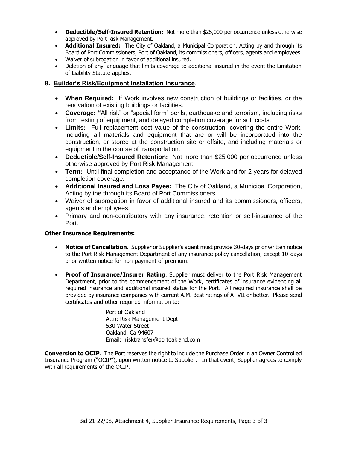- **Deductible/Self-Insured Retention:** Not more than \$25,000 per occurrence unless otherwise approved by Port Risk Management.
- **Additional Insured:** The City of Oakland, a Municipal Corporation, Acting by and through its Board of Port Commissioners, Port of Oakland, its commissioners, officers, agents and employees.
- Waiver of subrogation in favor of additional insured.
- Deletion of any language that limits coverage to additional insured in the event the Limitation of Liability Statute applies.

#### **8. Builder's Risk/Equipment Installation Insurance**.

- **When Required:** If Work involves new construction of buildings or facilities, or the renovation of existing buildings or facilities.
- **Coverage: "**All risk" or "special form" perils, earthquake and terrorism, including risks from testing of equipment, and delayed completion coverage for soft costs.
- **Limits:** Full replacement cost value of the construction, covering the entire Work, including all materials and equipment that are or will be incorporated into the construction, or stored at the construction site or offsite, and including materials or equipment in the course of transportation.
- **Deductible/Self-Insured Retention:** Not more than \$25,000 per occurrence unless otherwise approved by Port Risk Management.
- **Term:** Until final completion and acceptance of the Work and for 2 years for delayed completion coverage.
- **Additional Insured and Loss Payee:** The City of Oakland, a Municipal Corporation, Acting by the through its Board of Port Commissioners.
- Waiver of subrogation in favor of additional insured and its commissioners, officers, agents and employees.
- Primary and non-contributory with any insurance, retention or self-insurance of the Port.

#### **Other Insurance Requirements:**

- **Notice of Cancellation**. Supplier or Supplier's agent must provide 30-days prior written notice to the Port Risk Management Department of any insurance policy cancellation, except 10-days prior written notice for non-payment of premium.
- **Proof of Insurance/Insurer Rating**. Supplier must deliver to the Port Risk Management Department, prior to the commencement of the Work, certificates of insurance evidencing all required insurance and additional insured status for the Port. All required insurance shall be provided by insurance companies with current A.M. Best ratings of A- VII or better. Please send certificates and other required information to:

Port of Oakland Attn: Risk Management Dept. 530 Water Street Oakland, Ca 94607 Email: risktransfer@portoakland.com

**Conversion to OCIP**. The Port reserves the right to include the Purchase Order in an Owner Controlled Insurance Program ("OCIP"), upon written notice to Supplier. In that event, Supplier agrees to comply with all requirements of the OCIP.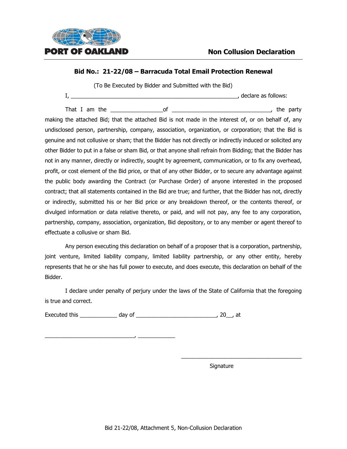

(To Be Executed by Bidder and Submitted with the Bid)

I, \_\_\_\_\_\_\_\_\_\_\_\_\_\_\_\_\_\_\_\_\_\_\_\_\_\_\_\_\_\_\_\_\_\_\_\_\_\_\_\_\_\_\_\_\_\_\_\_\_\_\_\_\_\_, declare as follows:

That I am the discussed of the contract of the contract of the party

making the attached Bid; that the attached Bid is not made in the interest of, or on behalf of, any undisclosed person, partnership, company, association, organization, or corporation; that the Bid is genuine and not collusive or sham; that the Bidder has not directly or indirectly induced or solicited any other Bidder to put in a false or sham Bid, or that anyone shall refrain from Bidding; that the Bidder has not in any manner, directly or indirectly, sought by agreement, communication, or to fix any overhead, profit, or cost element of the Bid price, or that of any other Bidder, or to secure any advantage against the public body awarding the Contract (or Purchase Order) of anyone interested in the proposed contract; that all statements contained in the Bid are true; and further, that the Bidder has not, directly or indirectly, submitted his or her Bid price or any breakdown thereof, or the contents thereof, or divulged information or data relative thereto, or paid, and will not pay, any fee to any corporation, partnership, company, association, organization, Bid depository, or to any member or agent thereof to effectuate a collusive or sham Bid.

Any person executing this declaration on behalf of a proposer that is a corporation, partnership, joint venture, limited liability company, limited liability partnership, or any other entity, hereby represents that he or she has full power to execute, and does execute, this declaration on behalf of the Bidder.

I declare under penalty of perjury under the laws of the State of California that the foregoing is true and correct.

Executed this \_\_\_\_\_\_\_\_\_\_\_\_ day of \_\_\_\_\_\_\_\_\_\_\_\_\_\_\_\_\_\_\_\_\_\_\_\_\_\_, 20\_\_, at

\_\_\_\_\_\_\_\_\_\_\_\_\_\_\_\_\_\_\_\_\_\_\_\_\_\_\_\_\_, \_\_\_\_\_\_\_\_\_\_\_\_

Signature

\_\_\_\_\_\_\_\_\_\_\_\_\_\_\_\_\_\_\_\_\_\_\_\_\_\_\_\_\_\_\_\_\_\_\_\_\_\_\_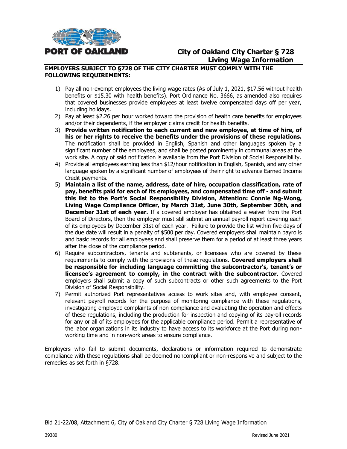

# **City of Oakland City Charter § 728 Living Wage Information**

#### **EMPLOYERS SUBJECT TO §728 OF THE CITY CHARTER MUST COMPLY WITH THE FOLLOWING REQUIREMENTS:**

- 1) Pay all non-exempt employees the living wage rates (As of July 1, 2021, \$17.56 without health benefits or \$15.30 with health benefits). Port Ordinance No. 3666, as amended also requires that covered businesses provide employees at least twelve compensated days off per year, including holidays.
- 2) Pay at least \$2.26 per hour worked toward the provision of health care benefits for employees and/or their dependents, if the employer claims credit for health benefits.
- 3) **Provide written notification to each current and new employee, at time of hire, of his or her rights to receive the benefits under the provisions of these regulations.** The notification shall be provided in English, Spanish and other languages spoken by a significant number of the employees, and shall be posted prominently in communal areas at the work site. A copy of said notification is available from the Port Division of Social Responsibility.
- 4) Provide all employees earning less than \$12/hour notification in English, Spanish, and any other language spoken by a significant number of employees of their right to advance Earned Income Credit payments.
- 5) **Maintain a list of the name, address, date of hire, occupation classification, rate of pay, benefits paid for each of its employees, and compensated time off - and submit this list to the Port's Social Responsibility Division, Attention: Connie Ng-Wong, Living Wage Compliance Officer, by March 31st, June 30th, September 30th, and December 31st of each year.** If a covered employer has obtained a waiver from the Port Board of Directors, then the employer must still submit an annual payroll report covering each of its employees by December 31st of each year. Failure to provide the list within five days of the due date will result in a penalty of \$500 per day. Covered employers shall maintain payrolls and basic records for all employees and shall preserve them for a period of at least three years after the close of the compliance period.
- 6) Require subcontractors, tenants and subtenants, or licensees who are covered by these requirements to comply with the provisions of these regulations. **Covered employers shall be responsible for including language committing the subcontractor's, tenant's or licensee's agreement to comply, in the contract with the subcontractor**. Covered employers shall submit a copy of such subcontracts or other such agreements to the Port Division of Social Responsibility.
- 7) Permit authorized Port representatives access to work sites and, with employee consent, relevant payroll records for the purpose of monitoring compliance with these regulations, investigating employee complaints of non-compliance and evaluating the operation and effects of these regulations, including the production for inspection and copying of its payroll records for any or all of its employees for the applicable compliance period. Permit a representative of the labor organizations in its industry to have access to its workforce at the Port during nonworking time and in non-work areas to ensure compliance.

Employers who fail to submit documents, declarations or information required to demonstrate compliance with these regulations shall be deemed noncompliant or non-responsive and subject to the remedies as set forth in §728.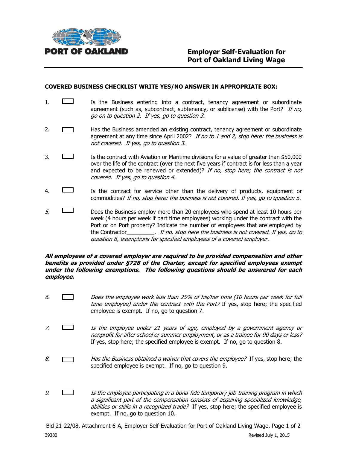

#### **COVERED BUSINESS CHECKLIST WRITE YES/NO ANSWER IN APPROPRIATE BOX:**

- 1.  $\Box$  Is the Business entering into a contract, tenancy agreement or subordinate agreement (such as, subcontract, subtenancy, or sublicense) with the Port? If no, go on to question 2. If yes, go to question 3.
- 2. **Has the Business amended an existing contract, tenancy agreement or subordinate** agreement at any time since April 2002? If no to 1 and 2, stop here: the business is not covered. If yes, go to question 3.
- 3. Is the contract with Aviation or Maritime divisions for a value of greater than \$50,000 over the life of the contract (over the next five years if contract is for less than a year and expected to be renewed or extended)? If no, stop here; the contract is not covered. If yes, go to question 4.
- 4. Is the contract for service other than the delivery of products, equipment or commodities? If no, stop here: the business is not covered. If yes, go to question 5.
- $5.$  Does the Business employ more than 20 employees who spend at least 10 hours per week (4 hours per week if part time employees) working under the contract with the Port or on Port property? Indicate the number of employees that are employed by the Contractor entirely a stop here the business is not covered. If yes, go to question 6, exemptions for specified employees of a covered employer.

#### **All employees of a covered employer are required to be provided compensation and other benefits as provided under §728 of the Charter, except for specified employees exempt under the following exemptions. The following questions should be answered for each employee.**

- 6. Does the employee work less than 25% of his/her time (10 hours per week for full time employee) under the contract with the Port? If yes, stop here; the specified employee is exempt. If no, go to question 7.
- 7. Is the employee under 21 years of age, employed by a government agency or nonprofit for after school or summer employment, or as a trainee for 90 days or less? If yes, stop here; the specified employee is exempt. If no, go to question 8.
- 8.  $\Box$  Has the Business obtained a waiver that covers the employee? If yes, stop here; the specified employee is exempt. If no, go to question 9.
- 9. Is the employee participating in a bona-fide temporary job-training program in which a significant part of the compensation consists of acquiring specialized knowledge, abilities or skills in a recognized trade? If yes, stop here; the specified employee is exempt. If no, go to question 10.

Bid 21-22/08, Attachment 6-A, Employer Self-Evaluation for Port of Oakland Living Wage, Page 1 of 2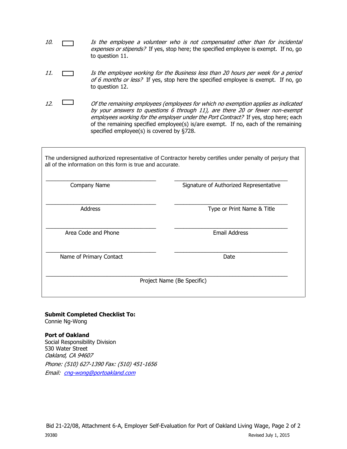- 10.  $\Box$  Is the employee a volunteer who is not compensated other than for incidental expenses or stipends? If yes, stop here; the specified employee is exempt. If no, go to question 11.
- 11. Is the employee working for the Business less than 20 hours per week for a period of 6 months or less? If yes, stop here the specified employee is exempt. If no, go to question 12.
- 12.  $\Box$  Of the remaining employees (employees for which no exemption applies as indicated by your answers to questions 6 through 11), are there 20 or fewer non-exempt employees working for the employer under the Port Contract? If yes, stop here; each of the remaining specified employee(s) is/are exempt. If no, each of the remaining specified employee(s) is covered by §728.

The undersigned authorized representative of Contractor hereby certifies under penalty of perjury that all of the information on this form is true and accurate.

| Company Name               | Signature of Authorized Representative |  |  |  |
|----------------------------|----------------------------------------|--|--|--|
| <b>Address</b>             | Type or Print Name & Title             |  |  |  |
| Area Code and Phone        | <b>Email Address</b>                   |  |  |  |
| Name of Primary Contact    | Date                                   |  |  |  |
| Project Name (Be Specific) |                                        |  |  |  |

# **Submit Completed Checklist To:**

Connie Ng-Wong

#### **Port of Oakland**

Social Responsibility Division 530 Water Street Oakland, CA 94607 Phone: (510) 627-1390 Fax: (510) 451-1656 Email: [cng-wong@portoakland.com](mailto:cng-wong@portoakland.com)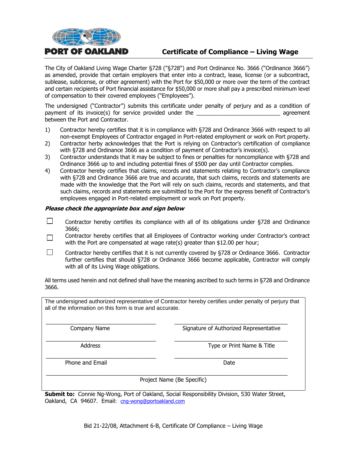

# **Certificate of Compliance – Living Wage**

The City of Oakland Living Wage Charter §728 ("§728") and Port Ordinance No. 3666 ("Ordinance 3666") as amended, provide that certain employers that enter into a contract, lease, license (or a subcontract, sublease, sublicense, or other agreement) with the Port for \$50,000 or more over the term of the contract and certain recipients of Port financial assistance for \$50,000 or more shall pay a prescribed minimum level of compensation to their covered employees ("Employees").

The undersigned ("Contractor") submits this certificate under penalty of perjury and as a condition of payment of its invoice(s) for service provided under the **Example 2** agreement between the Port and Contractor.

- 1) Contractor hereby certifies that it is in compliance with §728 and Ordinance 3666 with respect to all non-exempt Employees of Contractor engaged in Port-related employment or work on Port property.
- 2) Contractor herby acknowledges that the Port is relying on Contractor's certification of compliance with §728 and Ordinance 3666 as a condition of payment of Contractor's invoice(s).
- 3) Contractor understands that it may be subject to fines or penalties for noncompliance with §728 and Ordinance 3666 up to and including potential fines of \$500 per day until Contractor complies.
- 4) Contractor hereby certifies that claims, records and statements relating to Contractor's compliance with §728 and Ordinance 3666 are true and accurate, that such claims, records and statements are made with the knowledge that the Port will rely on such claims, records and statements, and that such claims, records and statements are submitted to the Port for the express benefit of Contractor's employees engaged in Port-related employment or work on Port property.

#### **Please check the appropriate box and sign below**

- $\Box$ Contractor hereby certifies its compliance with all of its obligations under §728 and Ordinance 3666;
- Contractor hereby certifies that all Employees of Contractor working under Contractor's contract П with the Port are compensated at wage rate(s) greater than \$12.00 per hour;
- П Contractor hereby certifies that it is not currently covered by §728 or Ordinance 3666. Contractor further certifies that should §728 or Ordinance 3666 become applicable, Contractor will comply with all of its Living Wage obligations.

All terms used herein and not defined shall have the meaning ascribed to such terms in §728 and Ordinance 3666.

The undersigned authorized representative of Contractor hereby certifies under penalty of perjury that all of the information on this form is true and accurate.

\_\_\_\_\_\_\_\_\_\_\_\_\_\_\_\_\_\_\_\_\_\_\_\_\_\_\_\_\_\_\_\_\_\_\_\_ \_\_\_\_\_\_\_\_\_\_\_\_\_\_\_\_\_\_\_\_\_\_\_\_\_\_\_\_\_\_\_\_\_\_\_\_\_

\_\_\_\_\_\_\_\_\_\_\_\_\_\_\_\_\_\_\_\_\_\_\_\_\_\_\_\_\_\_\_\_\_\_\_\_ \_\_\_\_\_\_\_\_\_\_\_\_\_\_\_\_\_\_\_\_\_\_\_\_\_\_\_\_\_\_\_\_\_\_\_\_\_

\_\_\_\_\_\_\_\_\_\_\_\_\_\_\_\_\_\_\_\_\_\_\_\_\_\_\_\_\_\_\_\_\_\_\_\_ \_\_\_\_\_\_\_\_\_\_\_\_\_\_\_\_\_\_\_\_\_\_\_\_\_\_\_\_\_\_\_\_\_\_\_\_\_

\_\_\_\_\_\_\_\_\_\_\_\_\_\_\_\_\_\_\_\_\_\_\_\_\_\_\_\_\_\_\_\_\_\_\_\_\_\_\_\_\_\_\_\_\_\_\_\_\_\_\_\_\_\_\_\_\_\_\_\_\_\_\_\_\_\_\_\_\_\_\_\_\_\_\_\_\_\_\_

Company Name The Signature of Authorized Representative

Address **Address Address Type or Print Name & Title** 

Phone and Email Date and Email Date Date and Email Date Date Date Date Date

Project Name (Be Specific)

**Submit to:** Connie Ng-Wong, Port of Oakland, Social Responsibility Division, 530 Water Street, Oakland, CA 94607. Email: [cng-wong@portoakland.com](mailto:cng-wong@portoakland.com)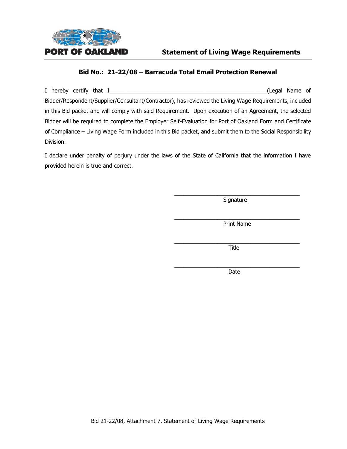

I hereby certify that I\_\_\_\_\_\_\_\_\_\_\_\_\_\_\_\_\_\_\_\_\_\_\_\_\_\_\_\_\_\_\_\_\_\_\_\_\_\_\_\_\_\_\_\_\_\_\_\_\_\_\_(Legal Name of Bidder/Respondent/Supplier/Consultant/Contractor), has reviewed the Living Wage Requirements, included in this Bid packet and will comply with said Requirement. Upon execution of an Agreement, the selected Bidder will be required to complete the Employer Self-Evaluation for Port of Oakland Form and Certificate of Compliance – Living Wage Form included in this Bid packet, and submit them to the Social Responsibility Division.

I declare under penalty of perjury under the laws of the State of California that the information I have provided herein is true and correct.

> \_\_\_\_\_\_\_\_\_\_\_\_\_\_\_\_\_\_\_\_\_\_\_\_\_\_\_\_\_\_\_\_\_\_\_\_\_\_\_\_\_ **Signature**

> \_\_\_\_\_\_\_\_\_\_\_\_\_\_\_\_\_\_\_\_\_\_\_\_\_\_\_\_\_\_\_\_\_\_\_\_\_\_\_\_\_ Print Name

> \_\_\_\_\_\_\_\_\_\_\_\_\_\_\_\_\_\_\_\_\_\_\_\_\_\_\_\_\_\_\_\_\_\_\_\_\_\_\_\_\_ Title

> \_\_\_\_\_\_\_\_\_\_\_\_\_\_\_\_\_\_\_\_\_\_\_\_\_\_\_\_\_\_\_\_\_\_\_\_\_\_\_\_\_ Date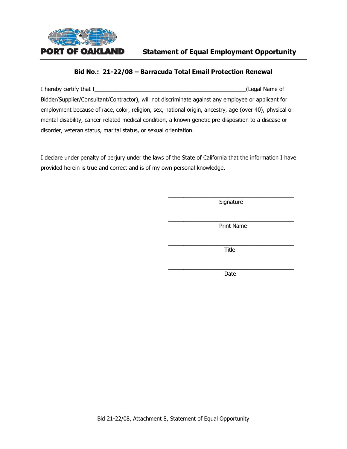

I hereby certify that I\_\_\_\_\_\_\_\_\_\_\_\_\_\_\_\_\_\_\_\_\_\_\_\_\_\_\_\_\_\_\_\_\_\_\_\_\_\_\_\_\_\_\_\_\_\_\_\_\_(Legal Name of Bidder/Supplier/Consultant/Contractor), will not discriminate against any employee or applicant for employment because of race, color, religion, sex, national origin, ancestry, age (over 40), physical or mental disability, cancer-related medical condition, a known genetic pre-disposition to a disease or disorder, veteran status, marital status, or sexual orientation.

I declare under penalty of perjury under the laws of the State of California that the information I have provided herein is true and correct and is of my own personal knowledge.

> \_\_\_\_\_\_\_\_\_\_\_\_\_\_\_\_\_\_\_\_\_\_\_\_\_\_\_\_\_\_\_\_\_\_\_\_\_\_\_\_\_ Signature

> \_\_\_\_\_\_\_\_\_\_\_\_\_\_\_\_\_\_\_\_\_\_\_\_\_\_\_\_\_\_\_\_\_\_\_\_\_\_\_\_\_ Print Name

> $\frac{1}{2}$  , and the set of the set of the set of the set of the set of the set of the set of the set of the set of the set of the set of the set of the set of the set of the set of the set of the set of the set of the set Title

> \_\_\_\_\_\_\_\_\_\_\_\_\_\_\_\_\_\_\_\_\_\_\_\_\_\_\_\_\_\_\_\_\_\_\_\_\_\_\_\_\_ Date